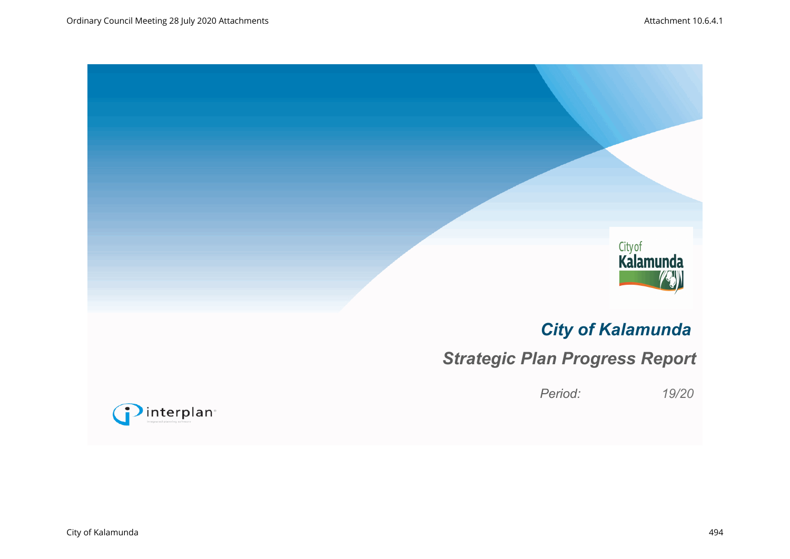![](_page_0_Picture_2.jpeg)

# *City of Kalamunda*

# *Strategic Plan Progress Report*

*Period: 19/20*

![](_page_0_Picture_6.jpeg)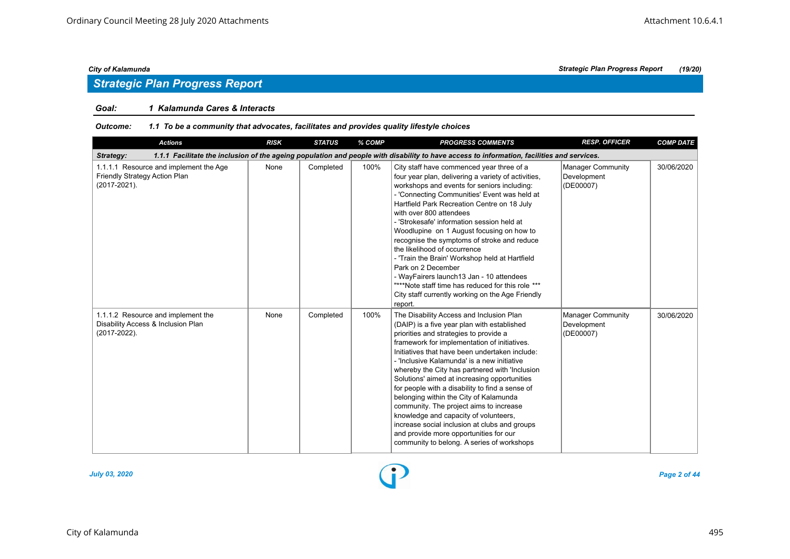## *Strategic Plan Progress Report*

#### *Goal: 1 Kalamunda Cares & Interacts*

#### *Outcome: 1.1 To be a community that advocates, facilitates and provides quality lifestyle choices*

| <b>Actions</b>                                                                           | <b>RISK</b> | <b>STATUS</b> | % COMP | <b>PROGRESS COMMENTS</b>                                                                                                                                                                                                                                                                                                                                                                                                                                                                                                                                                                                                                                                                                       | <b>RESP. OFFICER</b>                                 | <b>COMP DATE</b> |
|------------------------------------------------------------------------------------------|-------------|---------------|--------|----------------------------------------------------------------------------------------------------------------------------------------------------------------------------------------------------------------------------------------------------------------------------------------------------------------------------------------------------------------------------------------------------------------------------------------------------------------------------------------------------------------------------------------------------------------------------------------------------------------------------------------------------------------------------------------------------------------|------------------------------------------------------|------------------|
| Strategy:                                                                                |             |               |        | 1.1.1 Facilitate the inclusion of the ageing population and people with disability to have access to information, facilities and services.                                                                                                                                                                                                                                                                                                                                                                                                                                                                                                                                                                     |                                                      |                  |
| 1.1.1.1 Resource and implement the Age<br>Friendly Strategy Action Plan<br>(2017-2021).  | None        | Completed     | 100%   | City staff have commenced year three of a<br>four year plan, delivering a variety of activities,<br>workshops and events for seniors including:<br>- 'Connecting Communities' Event was held at<br>Hartfield Park Recreation Centre on 18 July<br>with over 800 attendees<br>- 'Strokesafe' information session held at<br>Woodlupine on 1 August focusing on how to<br>recognise the symptoms of stroke and reduce<br>the likelihood of occurrence<br>- 'Train the Brain' Workshop held at Hartfield<br>Park on 2 December<br>- WayFairers launch13 Jan - 10 attendees<br>"***Note staff time has reduced for this role ***<br>City staff currently working on the Age Friendly<br>report.                    | Manager Community<br>Development<br>(DE00007)        | 30/06/2020       |
| 1.1.1.2 Resource and implement the<br>Disability Access & Inclusion Plan<br>(2017-2022). | None        | Completed     | 100%   | The Disability Access and Inclusion Plan<br>(DAIP) is a five year plan with established<br>priorities and strategies to provide a<br>framework for implementation of initiatives.<br>Initiatives that have been undertaken include:<br>- 'Inclusive Kalamunda' is a new initiative<br>whereby the City has partnered with 'Inclusion<br>Solutions' aimed at increasing opportunities<br>for people with a disability to find a sense of<br>belonging within the City of Kalamunda<br>community. The project aims to increase<br>knowledge and capacity of volunteers,<br>increase social inclusion at clubs and groups<br>and provide more opportunities for our<br>community to belong. A series of workshops | <b>Manager Community</b><br>Development<br>(DE00007) | 30/06/2020       |

![](_page_1_Figure_7.jpeg)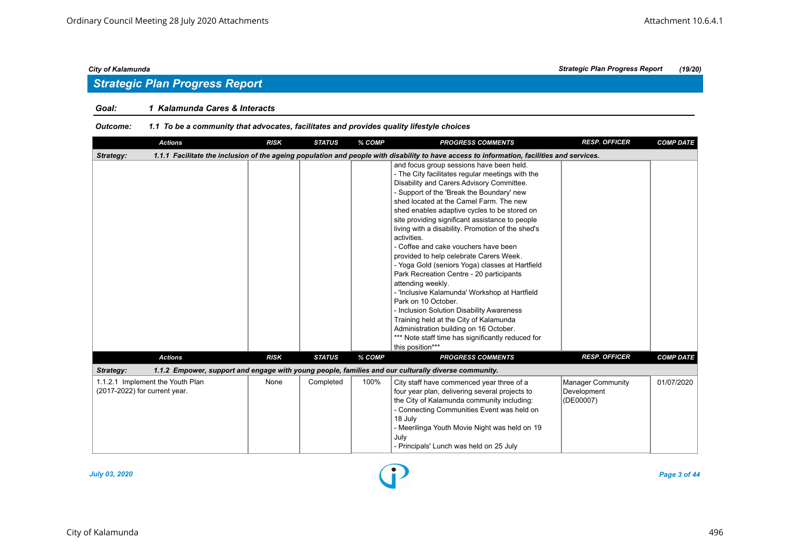## *Strategic Plan Progress Report*

#### *Goal: 1 Kalamunda Cares & Interacts*

#### *Outcome: 1.1 To be a community that advocates, facilitates and provides quality lifestyle choices*

| <b>Actions</b>                                                    | <b>RISK</b> | <b>STATUS</b> | % COMP | <b>PROGRESS COMMENTS</b>                                                                                                                                                                                                                                                                                                                                                                                                                                                                                                                                                                                                                                                                                                                                                                                                                                                                          | <b>RESP. OFFICER</b>                          | <b>COMP DATE</b> |
|-------------------------------------------------------------------|-------------|---------------|--------|---------------------------------------------------------------------------------------------------------------------------------------------------------------------------------------------------------------------------------------------------------------------------------------------------------------------------------------------------------------------------------------------------------------------------------------------------------------------------------------------------------------------------------------------------------------------------------------------------------------------------------------------------------------------------------------------------------------------------------------------------------------------------------------------------------------------------------------------------------------------------------------------------|-----------------------------------------------|------------------|
| Strategy:                                                         |             |               |        | 1.1.1 Facilitate the inclusion of the ageing population and people with disability to have access to information, facilities and services.                                                                                                                                                                                                                                                                                                                                                                                                                                                                                                                                                                                                                                                                                                                                                        |                                               |                  |
|                                                                   |             |               |        | and focus group sessions have been held.<br>- The City facilitates regular meetings with the<br>Disability and Carers Advisory Committee.<br>- Support of the 'Break the Boundary' new<br>shed located at the Camel Farm. The new<br>shed enables adaptive cycles to be stored on<br>site providing significant assistance to people<br>living with a disability. Promotion of the shed's<br>activities.<br>- Coffee and cake vouchers have been<br>provided to help celebrate Carers Week.<br>- Yoga Gold (seniors Yoga) classes at Hartfield<br>Park Recreation Centre - 20 participants<br>attending weekly.<br>- 'Inclusive Kalamunda' Workshop at Hartfield<br>Park on 10 October.<br>- Inclusion Solution Disability Awareness<br>Training held at the City of Kalamunda<br>Administration building on 16 October.<br>*** Note staff time has significantly reduced for<br>this position*** |                                               |                  |
| <b>Actions</b>                                                    | <b>RISK</b> | <b>STATUS</b> | % COMP | <b>PROGRESS COMMENTS</b>                                                                                                                                                                                                                                                                                                                                                                                                                                                                                                                                                                                                                                                                                                                                                                                                                                                                          | <b>RESP. OFFICER</b>                          | <b>COMP DATE</b> |
| Strategy:                                                         |             |               |        | 1.1.2 Empower, support and engage with young people, families and our culturally diverse community.                                                                                                                                                                                                                                                                                                                                                                                                                                                                                                                                                                                                                                                                                                                                                                                               |                                               |                  |
| 1.1.2.1 Implement the Youth Plan<br>(2017-2022) for current year. | None        | Completed     | 100%   | City staff have commenced year three of a<br>four year plan, delivering several projects to<br>the City of Kalamunda community including:<br>- Connecting Communities Event was held on<br>18 July<br>- Meerilinga Youth Movie Night was held on 19<br>July<br>- Principals' Lunch was held on 25 July                                                                                                                                                                                                                                                                                                                                                                                                                                                                                                                                                                                            | Manager Community<br>Development<br>(DE00007) | 01/07/2020       |

![](_page_2_Figure_7.jpeg)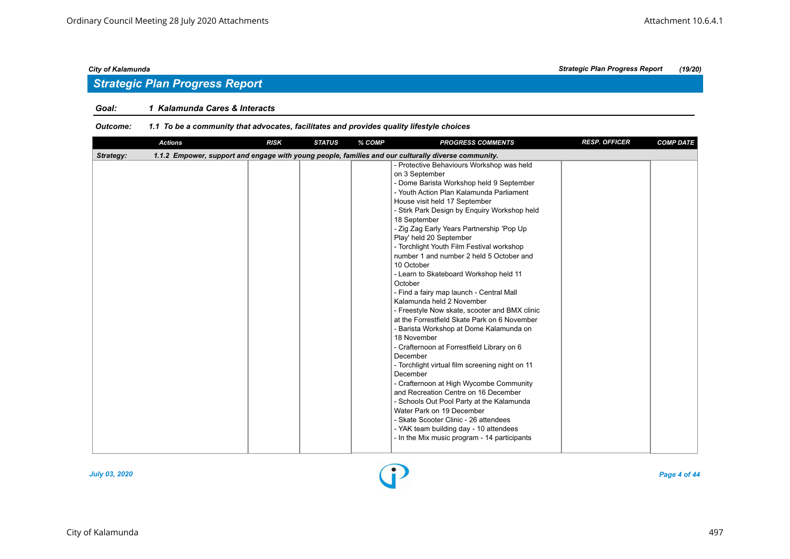## *Strategic Plan Progress Report*

#### *Goal: 1 Kalamunda Cares & Interacts*

#### *Outcome: 1.1 To be a community that advocates, facilitates and provides quality lifestyle choices*

| <b>Actions</b> | <b>RISK</b> | <b>STATUS</b> | % COMP | <b>PROGRESS COMMENTS</b>                                                                                                                                                                                                                                                                                                                                                                                                                                                                                                                                                                                                                                                                                                                                                                                                                                                                                                                                                                                                                                                                                                                              | <b>RESP. OFFICER</b> | <b>COMP DATE</b> |
|----------------|-------------|---------------|--------|-------------------------------------------------------------------------------------------------------------------------------------------------------------------------------------------------------------------------------------------------------------------------------------------------------------------------------------------------------------------------------------------------------------------------------------------------------------------------------------------------------------------------------------------------------------------------------------------------------------------------------------------------------------------------------------------------------------------------------------------------------------------------------------------------------------------------------------------------------------------------------------------------------------------------------------------------------------------------------------------------------------------------------------------------------------------------------------------------------------------------------------------------------|----------------------|------------------|
| Strategy:      |             |               |        | 1.1.2 Empower, support and engage with young people, families and our culturally diverse community.                                                                                                                                                                                                                                                                                                                                                                                                                                                                                                                                                                                                                                                                                                                                                                                                                                                                                                                                                                                                                                                   |                      |                  |
|                |             |               |        | - Protective Behaviours Workshop was held<br>on 3 September<br>- Dome Barista Workshop held 9 September<br>- Youth Action Plan Kalamunda Parliament<br>House visit held 17 September<br>- Stirk Park Design by Enquiry Workshop held<br>18 September<br>- Zig Zag Early Years Partnership 'Pop Up<br>Play' held 20 September<br>- Torchlight Youth Film Festival workshop<br>number 1 and number 2 held 5 October and<br>10 October<br>- Learn to Skateboard Workshop held 11<br>October<br>- Find a fairy map launch - Central Mall<br>Kalamunda held 2 November<br>- Freestyle Now skate, scooter and BMX clinic<br>at the Forrestfield Skate Park on 6 November<br>- Barista Workshop at Dome Kalamunda on<br>18 November<br>- Crafternoon at Forrestfield Library on 6<br>December<br>- Torchlight virtual film screening night on 11<br>December<br>- Crafternoon at High Wycombe Community<br>and Recreation Centre on 16 December<br>- Schools Out Pool Party at the Kalamunda<br>Water Park on 19 December<br>- Skate Scooter Clinic - 26 attendees<br>- YAK team building day - 10 attendees<br>- In the Mix music program - 14 participants |                      |                  |
|                |             |               |        |                                                                                                                                                                                                                                                                                                                                                                                                                                                                                                                                                                                                                                                                                                                                                                                                                                                                                                                                                                                                                                                                                                                                                       |                      |                  |

![](_page_3_Figure_7.jpeg)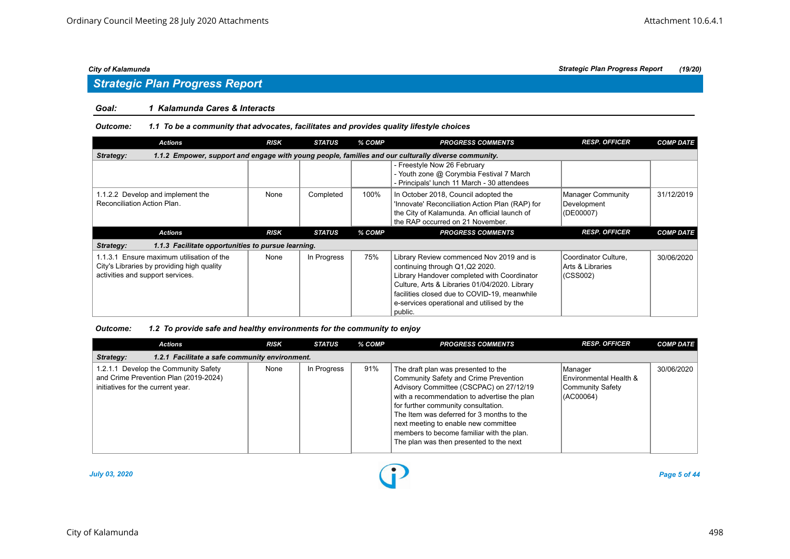## *Strategic Plan Progress Report*

#### *Goal: 1 Kalamunda Cares & Interacts*

#### *Outcome: 1.1 To be a community that advocates, facilitates and provides quality lifestyle choices*

| <b>Actions</b>                                                                                                   | <b>RISK</b> | <b>STATUS</b> | % COMP | <b>PROGRESS COMMENTS</b>                                                                                                                                                    | <b>RESP. OFFICER</b>                          | <b>COMP DATE</b> |  |  |  |  |
|------------------------------------------------------------------------------------------------------------------|-------------|---------------|--------|-----------------------------------------------------------------------------------------------------------------------------------------------------------------------------|-----------------------------------------------|------------------|--|--|--|--|
| 1.1.2 Empower, support and engage with young people, families and our culturally diverse community.<br>Strategy: |             |               |        |                                                                                                                                                                             |                                               |                  |  |  |  |  |
|                                                                                                                  |             |               |        | - Freestyle Now 26 February<br>- Youth zone @ Corymbia Festival 7 March<br>- Principals' lunch 11 March - 30 attendees                                                      |                                               |                  |  |  |  |  |
| 1.1.2.2 Develop and implement the<br>Reconciliation Action Plan.                                                 | None        | Completed     | 100%   | In October 2018, Council adopted the<br>'Innovate' Reconciliation Action Plan (RAP) for<br>the City of Kalamunda. An official launch of<br>the RAP occurred on 21 November. | Manager Community<br>Development<br>(DE00007) | 31/12/2019       |  |  |  |  |
| <b>Actions</b>                                                                                                   | <b>RISK</b> | <b>STATUS</b> | % COMP | <b>PROGRESS COMMENTS</b>                                                                                                                                                    | <b>RESP. OFFICER</b>                          | <b>COMP DATE</b> |  |  |  |  |
|                                                                                                                  |             |               |        |                                                                                                                                                                             |                                               |                  |  |  |  |  |
| 1.1.3 Facilitate opportunities to pursue learning.<br>Strategy:                                                  |             |               |        |                                                                                                                                                                             |                                               |                  |  |  |  |  |

#### *Outcome: 1.2 To provide safe and healthy environments for the community to enjoy*

| <b>Actions</b>                                                                                                     | <b>RISK</b> | <b>STATUS</b> | % COMP | <b>PROGRESS COMMENTS</b>                                                                                                                                                                                                                                                                                                                                                                   | <b>RESP. OFFICER</b>                                               | <b>COMP DATE</b> |  |  |  |
|--------------------------------------------------------------------------------------------------------------------|-------------|---------------|--------|--------------------------------------------------------------------------------------------------------------------------------------------------------------------------------------------------------------------------------------------------------------------------------------------------------------------------------------------------------------------------------------------|--------------------------------------------------------------------|------------------|--|--|--|
| 1.2.1 Facilitate a safe community environment.<br>Strategy:                                                        |             |               |        |                                                                                                                                                                                                                                                                                                                                                                                            |                                                                    |                  |  |  |  |
| 1.2.1.1 Develop the Community Safety<br>and Crime Prevention Plan (2019-2024)<br>initiatives for the current year. | None        | In Progress   | 91%    | The draft plan was presented to the<br>Community Safety and Crime Prevention<br>Advisory Committee (CSCPAC) on 27/12/19<br>with a recommendation to advertise the plan<br>for further community consultation.<br>The Item was deferred for 3 months to the<br>next meeting to enable new committee<br>members to become familiar with the plan.<br>The plan was then presented to the next | Manager<br>Environmental Health &<br>Community Safety<br>(AC00064) | 30/06/2020       |  |  |  |

![](_page_4_Figure_10.jpeg)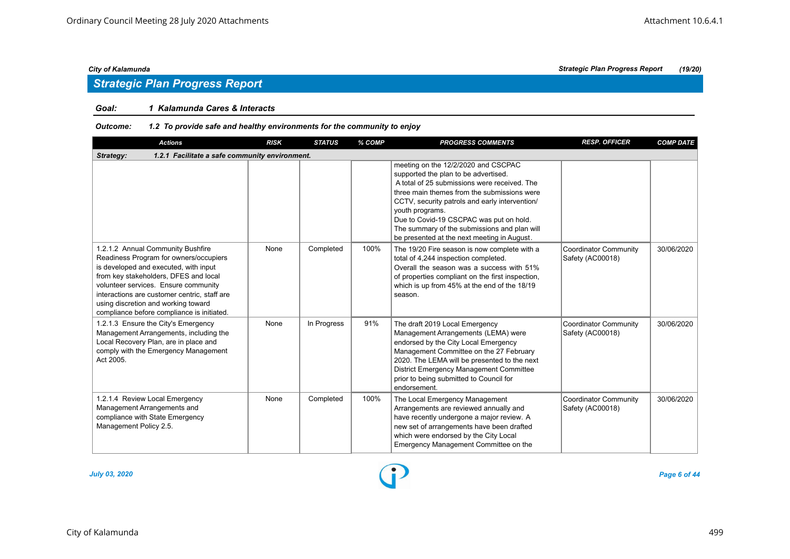## *Strategic Plan Progress Report*

#### *Goal: 1 Kalamunda Cares & Interacts*

#### *Outcome: 1.2 To provide safe and healthy environments for the community to enjoy*

| <b>Actions</b>                                                                                                                                                                                                                                                                                                                             | <b>RISK</b> | <b>STATUS</b> | % COMP | <b>PROGRESS COMMENTS</b>                                                                                                                                                                                                                                                                                                                                                                  | <b>RESP. OFFICER</b>                             | <b>COMP DATE</b> |
|--------------------------------------------------------------------------------------------------------------------------------------------------------------------------------------------------------------------------------------------------------------------------------------------------------------------------------------------|-------------|---------------|--------|-------------------------------------------------------------------------------------------------------------------------------------------------------------------------------------------------------------------------------------------------------------------------------------------------------------------------------------------------------------------------------------------|--------------------------------------------------|------------------|
| Strategy:<br>1.2.1 Facilitate a safe community environment.                                                                                                                                                                                                                                                                                |             |               |        |                                                                                                                                                                                                                                                                                                                                                                                           |                                                  |                  |
|                                                                                                                                                                                                                                                                                                                                            |             |               |        | meeting on the 12/2/2020 and CSCPAC<br>supported the plan to be advertised.<br>A total of 25 submissions were received. The<br>three main themes from the submissions were<br>CCTV, security patrols and early intervention/<br>youth programs.<br>Due to Covid-19 CSCPAC was put on hold.<br>The summary of the submissions and plan will<br>be presented at the next meeting in August. |                                                  |                  |
| 1.2.1.2 Annual Community Bushfire<br>Readiness Program for owners/occupiers<br>is developed and executed, with input<br>from key stakeholders, DFES and local<br>volunteer services. Ensure community<br>interactions are customer centric, staff are<br>using discretion and working toward<br>compliance before compliance is initiated. | None        | Completed     | 100%   | The 19/20 Fire season is now complete with a<br>total of 4,244 inspection completed.<br>Overall the season was a success with 51%<br>of properties compliant on the first inspection,<br>which is up from 45% at the end of the 18/19<br>season.                                                                                                                                          | <b>Coordinator Community</b><br>Safety (AC00018) | 30/06/2020       |
| 1.2.1.3 Ensure the City's Emergency<br>Management Arrangements, including the<br>Local Recovery Plan, are in place and<br>comply with the Emergency Management<br>Act 2005.                                                                                                                                                                | None        | In Progress   | 91%    | The draft 2019 Local Emergency<br>Management Arrangements (LEMA) were<br>endorsed by the City Local Emergency<br>Management Committee on the 27 February<br>2020. The LEMA will be presented to the next<br><b>District Emergency Management Committee</b><br>prior to being submitted to Council for<br>endorsement.                                                                     | <b>Coordinator Community</b><br>Safety (AC00018) | 30/06/2020       |
| 1.2.1.4 Review Local Emergency<br>Management Arrangements and<br>compliance with State Emergency<br>Management Policy 2.5.                                                                                                                                                                                                                 | None        | Completed     | 100%   | The Local Emergency Management<br>Arrangements are reviewed annually and<br>have recently undergone a major review. A<br>new set of arrangements have been drafted<br>which were endorsed by the City Local<br>Emergency Management Committee on the                                                                                                                                      | <b>Coordinator Community</b><br>Safety (AC00018) | 30/06/2020       |

![](_page_5_Figure_7.jpeg)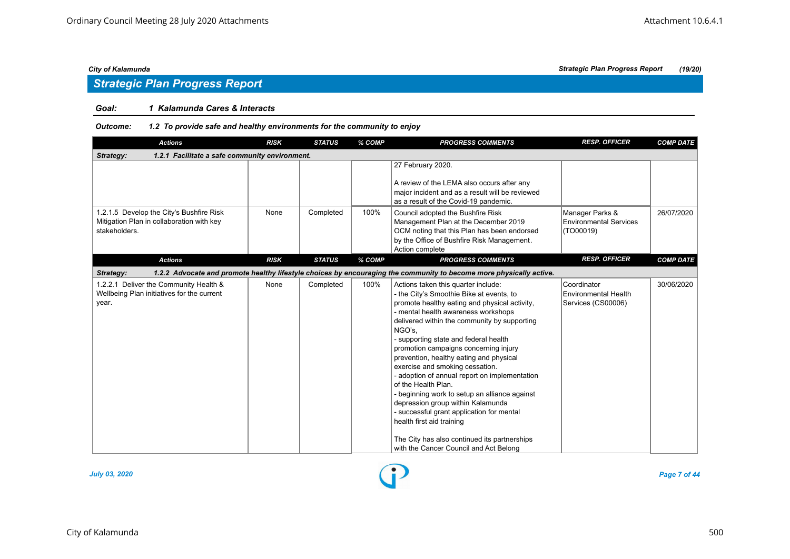## *Strategic Plan Progress Report*

#### *Goal: 1 Kalamunda Cares & Interacts*

#### *Outcome: 1.2 To provide safe and healthy environments for the community to enjoy*

| <b>Actions</b>                                                                                         | <b>RISK</b> | <b>STATUS</b> | % COMP | <b>PROGRESS COMMENTS</b>                                                                                                                                                                                                                                                                                                                                                                                                                                                                                                                                                                                                                                                                                                            | <b>RESP. OFFICER</b>                                             | <b>COMP DATE</b> |  |  |  |  |
|--------------------------------------------------------------------------------------------------------|-------------|---------------|--------|-------------------------------------------------------------------------------------------------------------------------------------------------------------------------------------------------------------------------------------------------------------------------------------------------------------------------------------------------------------------------------------------------------------------------------------------------------------------------------------------------------------------------------------------------------------------------------------------------------------------------------------------------------------------------------------------------------------------------------------|------------------------------------------------------------------|------------------|--|--|--|--|
| 1.2.1 Facilitate a safe community environment.<br>Strategy:                                            |             |               |        |                                                                                                                                                                                                                                                                                                                                                                                                                                                                                                                                                                                                                                                                                                                                     |                                                                  |                  |  |  |  |  |
|                                                                                                        |             |               |        | 27 February 2020.<br>A review of the LEMA also occurs after any<br>major incident and as a result will be reviewed<br>as a result of the Covid-19 pandemic.                                                                                                                                                                                                                                                                                                                                                                                                                                                                                                                                                                         |                                                                  |                  |  |  |  |  |
| 1.2.1.5 Develop the City's Bushfire Risk<br>Mitigation Plan in collaboration with key<br>stakeholders. | None        | Completed     | 100%   | Council adopted the Bushfire Risk<br>Management Plan at the December 2019<br>OCM noting that this Plan has been endorsed<br>by the Office of Bushfire Risk Management.<br>Action complete                                                                                                                                                                                                                                                                                                                                                                                                                                                                                                                                           | Manager Parks &<br><b>Environmental Services</b><br>(TO00019)    | 26/07/2020       |  |  |  |  |
| <b>Actions</b>                                                                                         | <b>RISK</b> | <b>STATUS</b> | % COMP | <b>PROGRESS COMMENTS</b>                                                                                                                                                                                                                                                                                                                                                                                                                                                                                                                                                                                                                                                                                                            | <b>RESP. OFFICER</b>                                             | <b>COMP DATE</b> |  |  |  |  |
| Strategy:                                                                                              |             |               |        | 1.2.2 Advocate and promote healthy lifestyle choices by encouraging the community to become more physically active.                                                                                                                                                                                                                                                                                                                                                                                                                                                                                                                                                                                                                 |                                                                  |                  |  |  |  |  |
| 1.2.2.1 Deliver the Community Health &<br>Wellbeing Plan initiatives for the current<br>year.          | None        | Completed     | 100%   | Actions taken this quarter include:<br>- the City's Smoothie Bike at events, to<br>promote healthy eating and physical activity,<br>- mental health awareness workshops<br>delivered within the community by supporting<br>NGO's,<br>- supporting state and federal health<br>promotion campaigns concerning injury<br>prevention, healthy eating and physical<br>exercise and smoking cessation.<br>- adoption of annual report on implementation<br>of the Health Plan.<br>- beginning work to setup an alliance against<br>depression group within Kalamunda<br>- successful grant application for mental<br>health first aid training<br>The City has also continued its partnerships<br>with the Cancer Council and Act Belong | Coordinator<br><b>Environmental Health</b><br>Services (CS00006) | 30/06/2020       |  |  |  |  |

![](_page_6_Figure_8.jpeg)

*July 03, 2020 Page 7 of 44*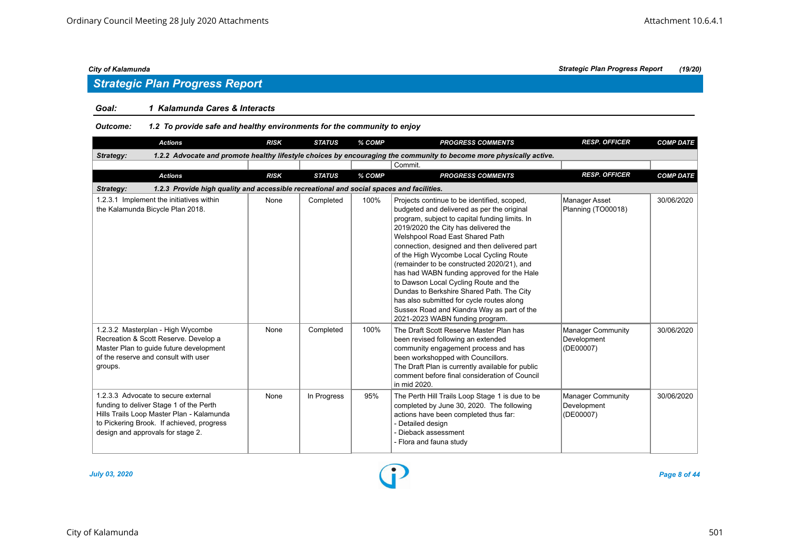#### *Goal: 1 Kalamunda Cares & Interacts*

#### *Outcome: 1.2 To provide safe and healthy environments for the community to enjoy*

|                                                                                                       | <b>Actions</b>                                                                                                                                                                                                | <b>RISK</b> | <b>STATUS</b> | % COMP | <b>PROGRESS COMMENTS</b>                                                                                                                                                                                                                                                                                                                                                                                                                                                                                                                                                                                                          | <b>RESP. OFFICER</b>                                 | <b>COMP DATE</b> |  |  |  |
|-------------------------------------------------------------------------------------------------------|---------------------------------------------------------------------------------------------------------------------------------------------------------------------------------------------------------------|-------------|---------------|--------|-----------------------------------------------------------------------------------------------------------------------------------------------------------------------------------------------------------------------------------------------------------------------------------------------------------------------------------------------------------------------------------------------------------------------------------------------------------------------------------------------------------------------------------------------------------------------------------------------------------------------------------|------------------------------------------------------|------------------|--|--|--|
| Strategy:                                                                                             |                                                                                                                                                                                                               |             |               |        | 1.2.2 Advocate and promote healthy lifestyle choices by encouraging the community to become more physically active.                                                                                                                                                                                                                                                                                                                                                                                                                                                                                                               |                                                      |                  |  |  |  |
|                                                                                                       |                                                                                                                                                                                                               |             |               |        | Commit.                                                                                                                                                                                                                                                                                                                                                                                                                                                                                                                                                                                                                           |                                                      |                  |  |  |  |
|                                                                                                       | <b>Actions</b>                                                                                                                                                                                                | <b>RISK</b> | <b>STATUS</b> | % COMP | <b>PROGRESS COMMENTS</b>                                                                                                                                                                                                                                                                                                                                                                                                                                                                                                                                                                                                          | <b>RESP. OFFICER</b>                                 | <b>COMP DATE</b> |  |  |  |
| 1.2.3 Provide high quality and accessible recreational and social spaces and facilities.<br>Strategy: |                                                                                                                                                                                                               |             |               |        |                                                                                                                                                                                                                                                                                                                                                                                                                                                                                                                                                                                                                                   |                                                      |                  |  |  |  |
|                                                                                                       | 1.2.3.1 Implement the initiatives within<br>the Kalamunda Bicycle Plan 2018.                                                                                                                                  | None        | Completed     | 100%   | Projects continue to be identified, scoped,<br>budgeted and delivered as per the original<br>program, subject to capital funding limits. In<br>2019/2020 the City has delivered the<br>Welshpool Road East Shared Path<br>connection, designed and then delivered part<br>of the High Wycombe Local Cycling Route<br>(remainder to be constructed 2020/21), and<br>has had WABN funding approved for the Hale<br>to Dawson Local Cycling Route and the<br>Dundas to Berkshire Shared Path. The City<br>has also submitted for cycle routes along<br>Sussex Road and Kiandra Way as part of the<br>2021-2023 WABN funding program. | Manager Asset<br>Planning (TO00018)                  | 30/06/2020       |  |  |  |
| groups.                                                                                               | 1.2.3.2 Masterplan - High Wycombe<br>Recreation & Scott Reserve. Develop a<br>Master Plan to quide future development<br>of the reserve and consult with user                                                 | None        | Completed     | 100%   | The Draft Scott Reserve Master Plan has<br>been revised following an extended<br>community engagement process and has<br>been workshopped with Councillors.<br>The Draft Plan is currently available for public<br>comment before final consideration of Council<br>in mid 2020.                                                                                                                                                                                                                                                                                                                                                  | <b>Manager Community</b><br>Development<br>(DE00007) | 30/06/2020       |  |  |  |
|                                                                                                       | 1.2.3.3 Advocate to secure external<br>funding to deliver Stage 1 of the Perth<br>Hills Trails Loop Master Plan - Kalamunda<br>to Pickering Brook. If achieved, progress<br>design and approvals for stage 2. | None        | In Progress   | 95%    | The Perth Hill Trails Loop Stage 1 is due to be<br>completed by June 30, 2020. The following<br>actions have been completed thus far:<br>- Detailed design<br>- Dieback assessment<br>- Flora and fauna study                                                                                                                                                                                                                                                                                                                                                                                                                     | <b>Manager Community</b><br>Development<br>(DE00007) | 30/06/2020       |  |  |  |

![](_page_7_Figure_9.jpeg)

*July 03, 2020 Page 8 of 44*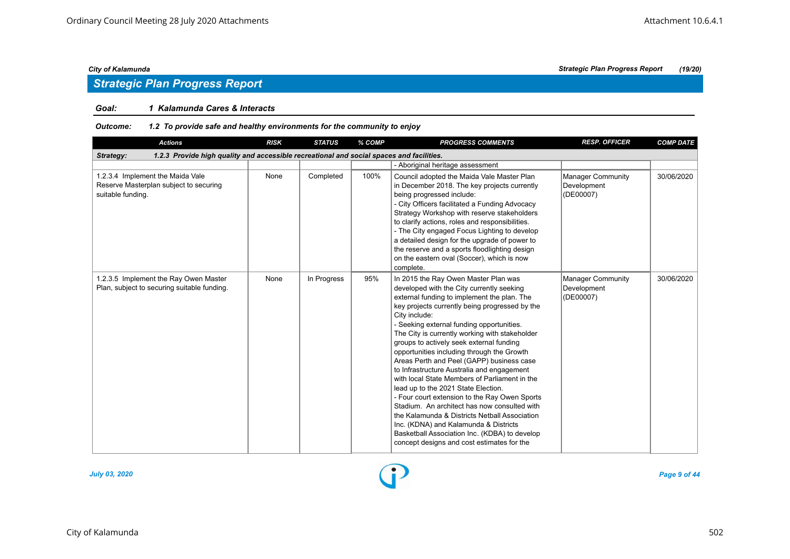## *Strategic Plan Progress Report*

#### *Goal: 1 Kalamunda Cares & Interacts*

#### *Outcome: 1.2 To provide safe and healthy environments for the community to enjoy*

| <b>Actions</b>                                                                                        | <b>RISK</b> | <b>STATUS</b> | % COMP | <b>PROGRESS COMMENTS</b>                                                                                                                                                                                                                                                                                                                                                                                                                                                                                                                                                                                                                                                                                                                                                                                                                                                  | <b>RESP. OFFICER</b>                                 | <b>COMP DATE</b> |  |  |  |
|-------------------------------------------------------------------------------------------------------|-------------|---------------|--------|---------------------------------------------------------------------------------------------------------------------------------------------------------------------------------------------------------------------------------------------------------------------------------------------------------------------------------------------------------------------------------------------------------------------------------------------------------------------------------------------------------------------------------------------------------------------------------------------------------------------------------------------------------------------------------------------------------------------------------------------------------------------------------------------------------------------------------------------------------------------------|------------------------------------------------------|------------------|--|--|--|
| 1.2.3 Provide high quality and accessible recreational and social spaces and facilities.<br>Strategy: |             |               |        |                                                                                                                                                                                                                                                                                                                                                                                                                                                                                                                                                                                                                                                                                                                                                                                                                                                                           |                                                      |                  |  |  |  |
|                                                                                                       |             |               |        | - Aboriginal heritage assessment                                                                                                                                                                                                                                                                                                                                                                                                                                                                                                                                                                                                                                                                                                                                                                                                                                          |                                                      |                  |  |  |  |
| 1.2.3.4 Implement the Maida Vale<br>Reserve Masterplan subject to securing<br>suitable funding.       | None        | Completed     | 100%   | Council adopted the Maida Vale Master Plan<br>in December 2018. The key projects currently<br>being progressed include:<br>- City Officers facilitated a Funding Advocacy<br>Strategy Workshop with reserve stakeholders<br>to clarify actions, roles and responsibilities.<br>- The City engaged Focus Lighting to develop<br>a detailed design for the upgrade of power to<br>the reserve and a sports floodlighting design<br>on the eastern oval (Soccer), which is now<br>complete.                                                                                                                                                                                                                                                                                                                                                                                  | <b>Manager Community</b><br>Development<br>(DE00007) | 30/06/2020       |  |  |  |
| 1.2.3.5 Implement the Ray Owen Master<br>Plan, subject to securing suitable funding.                  | None        | In Progress   | 95%    | In 2015 the Ray Owen Master Plan was<br>developed with the City currently seeking<br>external funding to implement the plan. The<br>key projects currently being progressed by the<br>City include:<br>- Seeking external funding opportunities.<br>The City is currently working with stakeholder<br>groups to actively seek external funding<br>opportunities including through the Growth<br>Areas Perth and Peel (GAPP) business case<br>to Infrastructure Australia and engagement<br>with local State Members of Parliament in the<br>lead up to the 2021 State Election.<br>- Four court extension to the Ray Owen Sports<br>Stadium. An architect has now consulted with<br>the Kalamunda & Districts Netball Association<br>Inc. (KDNA) and Kalamunda & Districts<br>Basketball Association Inc. (KDBA) to develop<br>concept designs and cost estimates for the | <b>Manager Community</b><br>Development<br>(DE00007) | 30/06/2020       |  |  |  |

![](_page_8_Figure_7.jpeg)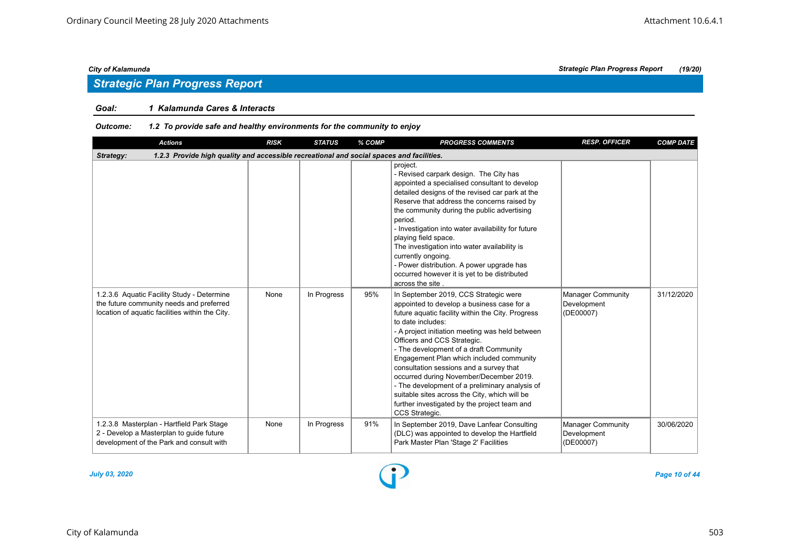## *Strategic Plan Progress Report*

#### *Goal: 1 Kalamunda Cares & Interacts*

#### *Outcome: 1.2 To provide safe and healthy environments for the community to enjoy*

| <b>Actions</b>                                                                                                                            | <b>RISK</b> | <b>STATUS</b> | % COMP | <b>PROGRESS COMMENTS</b>                                                                                                                                                                                                                                                                                                                                                                                                                                                                                                                                                                         | <b>RESP. OFFICER</b>                                 | <b>COMP DATE</b> |  |  |  |  |
|-------------------------------------------------------------------------------------------------------------------------------------------|-------------|---------------|--------|--------------------------------------------------------------------------------------------------------------------------------------------------------------------------------------------------------------------------------------------------------------------------------------------------------------------------------------------------------------------------------------------------------------------------------------------------------------------------------------------------------------------------------------------------------------------------------------------------|------------------------------------------------------|------------------|--|--|--|--|
| 1.2.3 Provide high quality and accessible recreational and social spaces and facilities.<br>Strategy:                                     |             |               |        |                                                                                                                                                                                                                                                                                                                                                                                                                                                                                                                                                                                                  |                                                      |                  |  |  |  |  |
|                                                                                                                                           |             |               |        | project.<br>- Revised carpark design. The City has<br>appointed a specialised consultant to develop<br>detailed designs of the revised car park at the<br>Reserve that address the concerns raised by<br>the community during the public advertising<br>period.<br>- Investigation into water availability for future<br>playing field space.<br>The investigation into water availability is<br>currently ongoing.<br>- Power distribution. A power upgrade has<br>occurred however it is yet to be distributed<br>across the site                                                              |                                                      |                  |  |  |  |  |
| 1.2.3.6 Aquatic Facility Study - Determine<br>the future community needs and preferred<br>location of aquatic facilities within the City. | None        | In Progress   | 95%    | In September 2019, CCS Strategic were<br>appointed to develop a business case for a<br>future aquatic facility within the City. Progress<br>to date includes:<br>- A project initiation meeting was held between<br>Officers and CCS Strategic.<br>- The development of a draft Community<br>Engagement Plan which included community<br>consultation sessions and a survey that<br>occurred during November/December 2019.<br>- The development of a preliminary analysis of<br>suitable sites across the City, which will be<br>further investigated by the project team and<br>CCS Strategic. | Manager Community<br>Development<br>(DE00007)        | 31/12/2020       |  |  |  |  |
| 1.2.3.8 Masterplan - Hartfield Park Stage<br>2 - Develop a Masterplan to quide future<br>development of the Park and consult with         | None        | In Progress   | 91%    | In September 2019, Dave Lanfear Consulting<br>(DLC) was appointed to develop the Hartfield<br>Park Master Plan 'Stage 2' Facilities                                                                                                                                                                                                                                                                                                                                                                                                                                                              | <b>Manager Community</b><br>Development<br>(DE00007) | 30/06/2020       |  |  |  |  |

![](_page_9_Picture_7.jpeg)

*July 03, 2020 Page 10 of 44*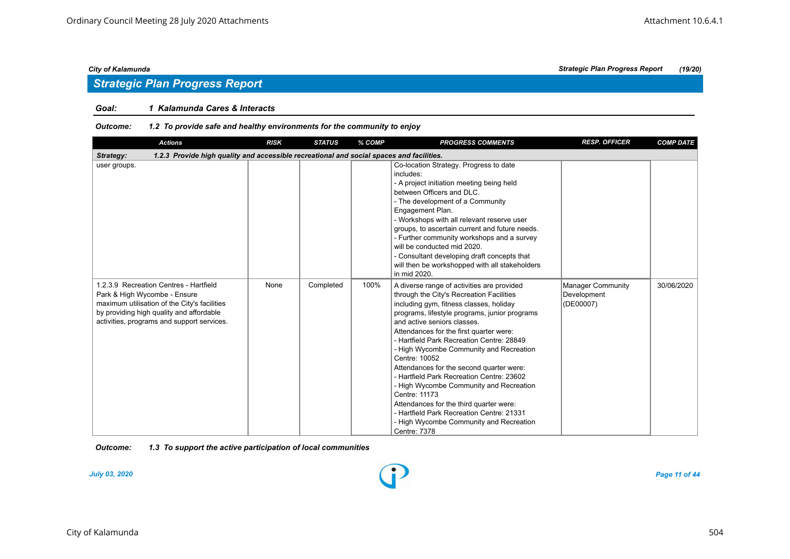#### *Goal: 1 Kalamunda Cares & Interacts*

#### *Outcome: 1.2 To provide safe and healthy environments for the community to enjoy*

| <b>Actions</b>                                                                                                                                                                                                   | <b>RISK</b> | <b>STATUS</b> | % COMP | <b>PROGRESS COMMENTS</b>                                                                                                                                                                                                                                                                                                                                                                                                                                                                                                                                                                                                                                                      | <b>RESP. OFFICER</b>                                 | <b>COMP DATE</b> |
|------------------------------------------------------------------------------------------------------------------------------------------------------------------------------------------------------------------|-------------|---------------|--------|-------------------------------------------------------------------------------------------------------------------------------------------------------------------------------------------------------------------------------------------------------------------------------------------------------------------------------------------------------------------------------------------------------------------------------------------------------------------------------------------------------------------------------------------------------------------------------------------------------------------------------------------------------------------------------|------------------------------------------------------|------------------|
| 1.2.3 Provide high quality and accessible recreational and social spaces and facilities.<br>Strategy:                                                                                                            |             |               |        |                                                                                                                                                                                                                                                                                                                                                                                                                                                                                                                                                                                                                                                                               |                                                      |                  |
| user groups.                                                                                                                                                                                                     |             |               |        | Co-location Strategy. Progress to date<br>includes:<br>- A project initiation meeting being held<br>between Officers and DLC.<br>- The development of a Community<br>Engagement Plan.<br>- Workshops with all relevant reserve user<br>groups, to ascertain current and future needs.<br>- Further community workshops and a survey<br>will be conducted mid 2020.<br>- Consultant developing draft concepts that<br>will then be workshopped with all stakeholders<br>in mid 2020.                                                                                                                                                                                           |                                                      |                  |
| 1.2.3.9 Recreation Centres - Hartfield<br>Park & High Wycombe - Ensure<br>maximum utilisation of the City's facilities<br>by providing high quality and affordable<br>activities, programs and support services. | None        | Completed     | 100%   | A diverse range of activities are provided<br>through the City's Recreation Facilities<br>including gym, fitness classes, holiday<br>programs, lifestyle programs, junior programs<br>and active seniors classes.<br>Attendances for the first quarter were:<br>- Hartfield Park Recreation Centre: 28849<br>- High Wycombe Community and Recreation<br>Centre: 10052<br>Attendances for the second quarter were:<br>- Hartfield Park Recreation Centre: 23602<br>- High Wycombe Community and Recreation<br>Centre: 11173<br>Attendances for the third quarter were:<br>- Hartfield Park Recreation Centre: 21331<br>- High Wycombe Community and Recreation<br>Centre: 7378 | <b>Manager Community</b><br>Development<br>(DE00007) | 30/06/2020       |

*Outcome: 1.3 To support the active participation of local communities*

![](_page_10_Figure_10.jpeg)

*July 03, 2020 Page 11 of 44*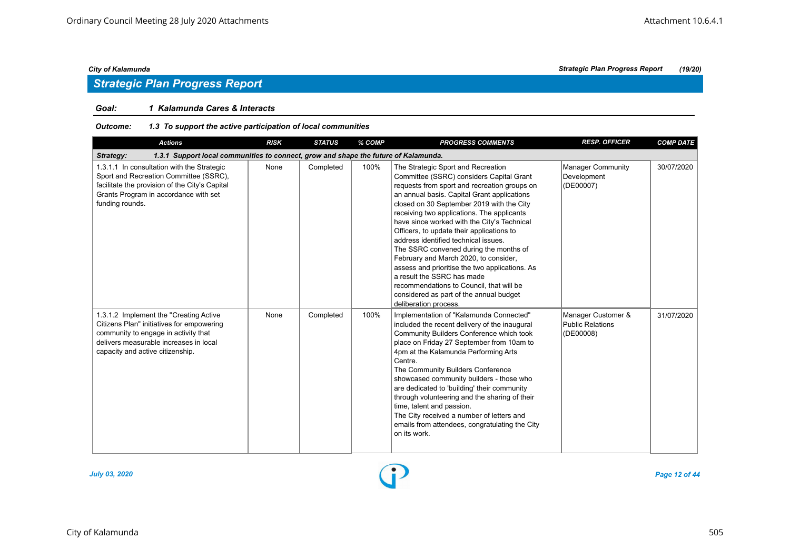#### *Goal: 1 Kalamunda Cares & Interacts*

#### *Outcome: 1.3 To support the active participation of local communities*

| <b>Actions</b>                                                                                                                                                                                            | <b>RISK</b> | <b>STATUS</b> | % COMP | <b>PROGRESS COMMENTS</b>                                                                                                                                                                                                                                                                                                                                                                                                                                                                                                                                                                                                                                                                        | <b>RESP. OFFICER</b>                                       | <b>COMP DATE</b> |  |  |  |  |
|-----------------------------------------------------------------------------------------------------------------------------------------------------------------------------------------------------------|-------------|---------------|--------|-------------------------------------------------------------------------------------------------------------------------------------------------------------------------------------------------------------------------------------------------------------------------------------------------------------------------------------------------------------------------------------------------------------------------------------------------------------------------------------------------------------------------------------------------------------------------------------------------------------------------------------------------------------------------------------------------|------------------------------------------------------------|------------------|--|--|--|--|
| 1.3.1 Support local communities to connect, grow and shape the future of Kalamunda.<br>Strategy:                                                                                                          |             |               |        |                                                                                                                                                                                                                                                                                                                                                                                                                                                                                                                                                                                                                                                                                                 |                                                            |                  |  |  |  |  |
| 1.3.1.1 In consultation with the Strategic<br>Sport and Recreation Committee (SSRC),<br>facilitate the provision of the City's Capital<br>Grants Program in accordance with set<br>funding rounds.        | None        | Completed     | 100%   | The Strategic Sport and Recreation<br>Committee (SSRC) considers Capital Grant<br>requests from sport and recreation groups on<br>an annual basis. Capital Grant applications<br>closed on 30 September 2019 with the City<br>receiving two applications. The applicants<br>have since worked with the City's Technical<br>Officers, to update their applications to<br>address identified technical issues.<br>The SSRC convened during the months of<br>February and March 2020, to consider,<br>assess and prioritise the two applications. As<br>a result the SSRC has made<br>recommendations to Council, that will be<br>considered as part of the annual budget<br>deliberation process. | <b>Manager Community</b><br>Development<br>(DE00007)       | 30/07/2020       |  |  |  |  |
| 1.3.1.2 Implement the "Creating Active<br>Citizens Plan" initiatives for empowering<br>community to engage in activity that<br>delivers measurable increases in local<br>capacity and active citizenship. | None        | Completed     | 100%   | Implementation of "Kalamunda Connected"<br>included the recent delivery of the inaugural<br>Community Builders Conference which took<br>place on Friday 27 September from 10am to<br>4pm at the Kalamunda Performing Arts<br>Centre.<br>The Community Builders Conference<br>showcased community builders - those who<br>are dedicated to 'building' their community<br>through volunteering and the sharing of their<br>time, talent and passion.<br>The City received a number of letters and<br>emails from attendees, congratulating the City<br>on its work.                                                                                                                               | Manager Customer &<br><b>Public Relations</b><br>(DE00008) | 31/07/2020       |  |  |  |  |

![](_page_11_Figure_9.jpeg)

*July 03, 2020 Page 12 of 44*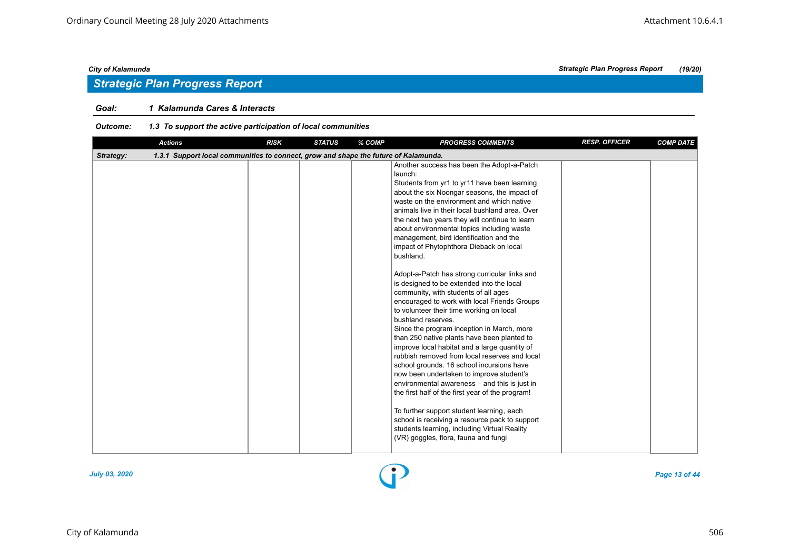## *Strategic Plan Progress Report*

#### *Goal: 1 Kalamunda Cares & Interacts*

#### *Outcome: 1.3 To support the active participation of local communities*

| <b>Actions</b>                                                                                   | <b>RISK</b> | <b>STATUS</b> | % COMP | <b>PROGRESS COMMENTS</b>                                                                                                                                                                                                                                                                                                                                                                                                                                                                                                                                                                                                                                                                                                                                                                                                                                                                                                                                                                                                                                                                                                                                                                                                                                                                             | <b>RESP. OFFICER</b> | <b>COMP DATE</b> |
|--------------------------------------------------------------------------------------------------|-------------|---------------|--------|------------------------------------------------------------------------------------------------------------------------------------------------------------------------------------------------------------------------------------------------------------------------------------------------------------------------------------------------------------------------------------------------------------------------------------------------------------------------------------------------------------------------------------------------------------------------------------------------------------------------------------------------------------------------------------------------------------------------------------------------------------------------------------------------------------------------------------------------------------------------------------------------------------------------------------------------------------------------------------------------------------------------------------------------------------------------------------------------------------------------------------------------------------------------------------------------------------------------------------------------------------------------------------------------------|----------------------|------------------|
| 1.3.1 Support local communities to connect, grow and shape the future of Kalamunda.<br>Strategy: |             |               |        |                                                                                                                                                                                                                                                                                                                                                                                                                                                                                                                                                                                                                                                                                                                                                                                                                                                                                                                                                                                                                                                                                                                                                                                                                                                                                                      |                      |                  |
|                                                                                                  |             |               |        | Another success has been the Adopt-a-Patch<br>launch:<br>Students from yr1 to yr11 have been learning<br>about the six Noongar seasons, the impact of<br>waste on the environment and which native<br>animals live in their local bushland area. Over<br>the next two years they will continue to learn<br>about environmental topics including waste<br>management, bird identification and the<br>impact of Phytophthora Dieback on local<br>bushland.<br>Adopt-a-Patch has strong curricular links and<br>is designed to be extended into the local<br>community, with students of all ages<br>encouraged to work with local Friends Groups<br>to volunteer their time working on local<br>bushland reserves.<br>Since the program inception in March, more<br>than 250 native plants have been planted to<br>improve local habitat and a large quantity of<br>rubbish removed from local reserves and local<br>school grounds. 16 school incursions have<br>now been undertaken to improve student's<br>environmental awareness - and this is just in<br>the first half of the first year of the program!<br>To further support student learning, each<br>school is receiving a resource pack to support<br>students learning, including Virtual Reality<br>(VR) goggles, flora, fauna and fungi |                      |                  |

![](_page_12_Figure_7.jpeg)

*July 03, 2020 Page 13 of 44*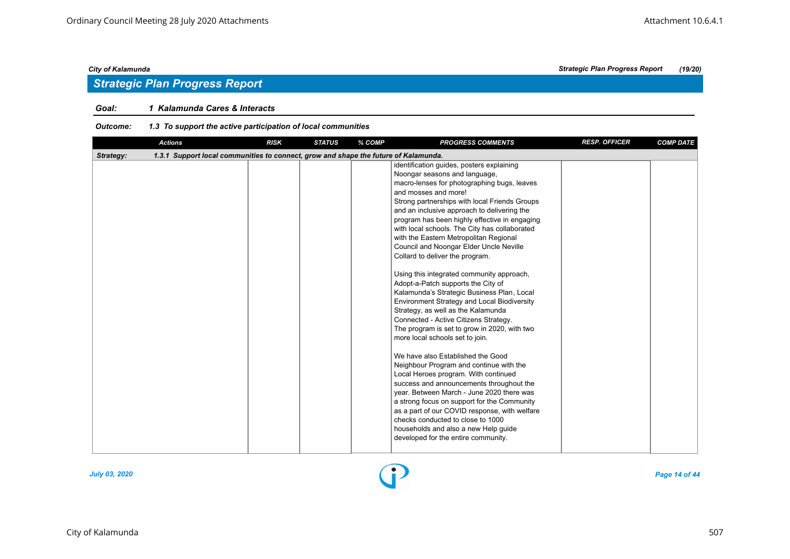## *Strategic Plan Progress Report*

#### *Goal: 1 Kalamunda Cares & Interacts*

#### *Outcome: 1.3 To support the active participation of local communities*

| <b>Actions</b>                                                                                   |  | <b>RISK</b><br><b>STATUS</b> | % COMP | <b>PROGRESS COMMENTS</b>                                                                                                                                                                                                                                                                                                                                                                                                                                                                                                                                                                                                                                                                                                                                                                                                                                                                                                                                                                                                                                                                                                                                                                                                                                           | <b>RESP. OFFICER</b> | <b>COMP DATE</b> |  |  |  |  |
|--------------------------------------------------------------------------------------------------|--|------------------------------|--------|--------------------------------------------------------------------------------------------------------------------------------------------------------------------------------------------------------------------------------------------------------------------------------------------------------------------------------------------------------------------------------------------------------------------------------------------------------------------------------------------------------------------------------------------------------------------------------------------------------------------------------------------------------------------------------------------------------------------------------------------------------------------------------------------------------------------------------------------------------------------------------------------------------------------------------------------------------------------------------------------------------------------------------------------------------------------------------------------------------------------------------------------------------------------------------------------------------------------------------------------------------------------|----------------------|------------------|--|--|--|--|
| 1.3.1 Support local communities to connect, grow and shape the future of Kalamunda.<br>Strategy: |  |                              |        |                                                                                                                                                                                                                                                                                                                                                                                                                                                                                                                                                                                                                                                                                                                                                                                                                                                                                                                                                                                                                                                                                                                                                                                                                                                                    |                      |                  |  |  |  |  |
|                                                                                                  |  |                              |        | identification guides, posters explaining<br>Noongar seasons and language,<br>macro-lenses for photographing bugs, leaves<br>and mosses and more!<br>Strong partnerships with local Friends Groups<br>and an inclusive approach to delivering the<br>program has been highly effective in engaging<br>with local schools. The City has collaborated<br>with the Eastern Metropolitan Regional<br>Council and Noongar Elder Uncle Neville<br>Collard to deliver the program.<br>Using this integrated community approach,<br>Adopt-a-Patch supports the City of<br>Kalamunda's Strategic Business Plan, Local<br>Environment Strategy and Local Biodiversity<br>Strategy, as well as the Kalamunda<br>Connected - Active Citizens Strategy.<br>The program is set to grow in 2020, with two<br>more local schools set to join.<br>We have also Established the Good<br>Neighbour Program and continue with the<br>Local Heroes program. With continued<br>success and announcements throughout the<br>year. Between March - June 2020 there was<br>a strong focus on support for the Community<br>as a part of our COVID response, with welfare<br>checks conducted to close to 1000<br>households and also a new Help guide<br>developed for the entire community. |                      |                  |  |  |  |  |
|                                                                                                  |  |                              |        |                                                                                                                                                                                                                                                                                                                                                                                                                                                                                                                                                                                                                                                                                                                                                                                                                                                                                                                                                                                                                                                                                                                                                                                                                                                                    |                      |                  |  |  |  |  |

![](_page_13_Figure_7.jpeg)

*July 03, 2020 Page 14 of 44*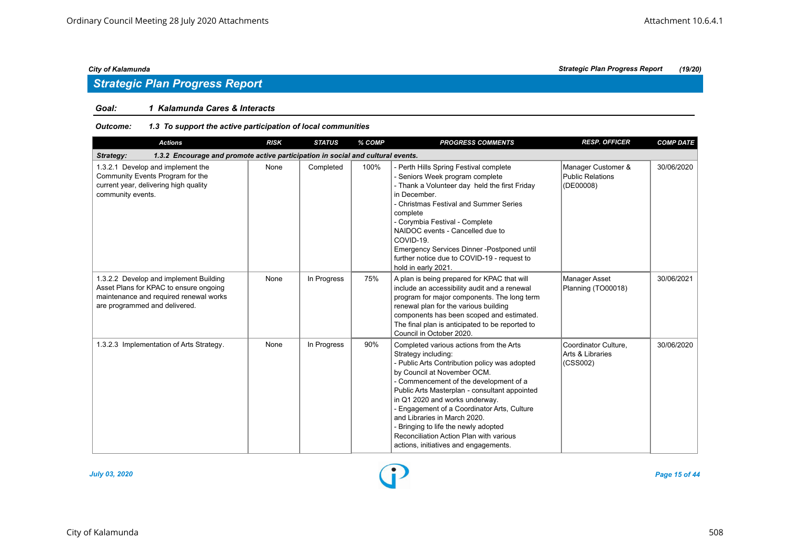## *Strategic Plan Progress Report*

### *Goal: 1 Kalamunda Cares & Interacts*

#### *Outcome: 1.3 To support the active participation of local communities*

| <b>Actions</b>                                                                                                                                              | <b>RISK</b> | <b>STATUS</b> | % COMP | <b>PROGRESS COMMENTS</b>                                                                                                                                                                                                                                                                                                                                                                                                                                                               | <b>RESP. OFFICER</b>                                 | <b>COMP DATE</b> |  |  |  |
|-------------------------------------------------------------------------------------------------------------------------------------------------------------|-------------|---------------|--------|----------------------------------------------------------------------------------------------------------------------------------------------------------------------------------------------------------------------------------------------------------------------------------------------------------------------------------------------------------------------------------------------------------------------------------------------------------------------------------------|------------------------------------------------------|------------------|--|--|--|
| 1.3.2 Encourage and promote active participation in social and cultural events.<br>Strategy:                                                                |             |               |        |                                                                                                                                                                                                                                                                                                                                                                                                                                                                                        |                                                      |                  |  |  |  |
| 1.3.2.1 Develop and implement the<br>Community Events Program for the<br>current year, delivering high quality<br>community events.                         | None        | Completed     | 100%   | Perth Hills Spring Festival complete<br>- Seniors Week program complete<br>- Thank a Volunteer day held the first Friday<br>in December.<br>- Christmas Festival and Summer Series<br>complete<br>- Corymbia Festival - Complete<br>NAIDOC events - Cancelled due to<br>COVID-19.<br>Emergency Services Dinner-Postponed until<br>further notice due to COVID-19 - request to<br>hold in early 2021.                                                                                   | Manager Customer &<br>Public Relations<br>(DE00008)  | 30/06/2020       |  |  |  |
| 1.3.2.2 Develop and implement Building<br>Asset Plans for KPAC to ensure ongoing<br>maintenance and required renewal works<br>are programmed and delivered. | None        | In Progress   | 75%    | A plan is being prepared for KPAC that will<br>include an accessibility audit and a renewal<br>program for major components. The long term<br>renewal plan for the various building<br>components has been scoped and estimated.<br>The final plan is anticipated to be reported to<br>Council in October 2020.                                                                                                                                                                        | Manager Asset<br>Planning (TO00018)                  | 30/06/2021       |  |  |  |
| 1.3.2.3 Implementation of Arts Strategy.                                                                                                                    | None        | In Progress   | 90%    | Completed various actions from the Arts<br>Strategy including:<br>- Public Arts Contribution policy was adopted<br>by Council at November OCM.<br>- Commencement of the development of a<br>Public Arts Masterplan - consultant appointed<br>in Q1 2020 and works underway.<br>- Engagement of a Coordinator Arts, Culture<br>and Libraries in March 2020.<br>- Bringing to life the newly adopted<br>Reconciliation Action Plan with various<br>actions, initiatives and engagements. | Coordinator Culture,<br>Arts & Libraries<br>(CSS002) | 30/06/2020       |  |  |  |

![](_page_14_Figure_8.jpeg)

*July 03, 2020 Page 15 of 44*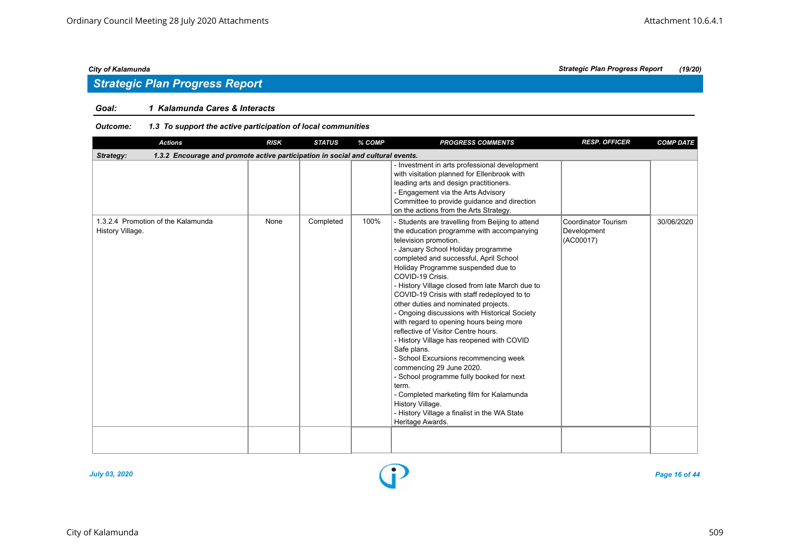## *Strategic Plan Progress Report*

#### *Goal: 1 Kalamunda Cares & Interacts*

#### *Outcome: 1.3 To support the active participation of local communities*

| <b>Actions</b>                                                                               | <b>RISK</b> | <b>STATUS</b> | % COMP | <b>PROGRESS COMMENTS</b>                                                                                                                                                                                                                                                                                                                                                                                                                                                                                                                                                                                                                                                                                                                                                                                                                                                | <b>RESP. OFFICER</b>                            | <b>COMP DATE</b> |  |  |  |  |
|----------------------------------------------------------------------------------------------|-------------|---------------|--------|-------------------------------------------------------------------------------------------------------------------------------------------------------------------------------------------------------------------------------------------------------------------------------------------------------------------------------------------------------------------------------------------------------------------------------------------------------------------------------------------------------------------------------------------------------------------------------------------------------------------------------------------------------------------------------------------------------------------------------------------------------------------------------------------------------------------------------------------------------------------------|-------------------------------------------------|------------------|--|--|--|--|
| 1.3.2 Encourage and promote active participation in social and cultural events.<br>Strategy: |             |               |        |                                                                                                                                                                                                                                                                                                                                                                                                                                                                                                                                                                                                                                                                                                                                                                                                                                                                         |                                                 |                  |  |  |  |  |
|                                                                                              |             |               |        | Investment in arts professional development<br>with visitation planned for Ellenbrook with<br>leading arts and design practitioners.<br>- Engagement via the Arts Advisory<br>Committee to provide guidance and direction<br>on the actions from the Arts Strategy.                                                                                                                                                                                                                                                                                                                                                                                                                                                                                                                                                                                                     |                                                 |                  |  |  |  |  |
| 1.3.2.4 Promotion of the Kalamunda<br>History Village.                                       | None        | Completed     | 100%   | - Students are travelling from Beijing to attend<br>the education programme with accompanying<br>television promotion.<br>- January School Holiday programme<br>completed and successful, April School<br>Holiday Programme suspended due to<br>COVID-19 Crisis.<br>- History Village closed from late March due to<br>COVID-19 Crisis with staff redeployed to to<br>other duties and nominated projects.<br>- Ongoing discussions with Historical Society<br>with regard to opening hours being more<br>reflective of Visitor Centre hours.<br>- History Village has reopened with COVID<br>Safe plans.<br>- School Excursions recommencing week<br>commencing 29 June 2020.<br>- School programme fully booked for next<br>term.<br>- Completed marketing film for Kalamunda<br>History Village.<br>- History Village a finalist in the WA State<br>Heritage Awards. | Coordinator Tourism<br>Development<br>(AC00017) | 30/06/2020       |  |  |  |  |
|                                                                                              |             |               |        |                                                                                                                                                                                                                                                                                                                                                                                                                                                                                                                                                                                                                                                                                                                                                                                                                                                                         |                                                 |                  |  |  |  |  |

![](_page_15_Figure_8.jpeg)

*July 03, 2020 Page 16 of 44*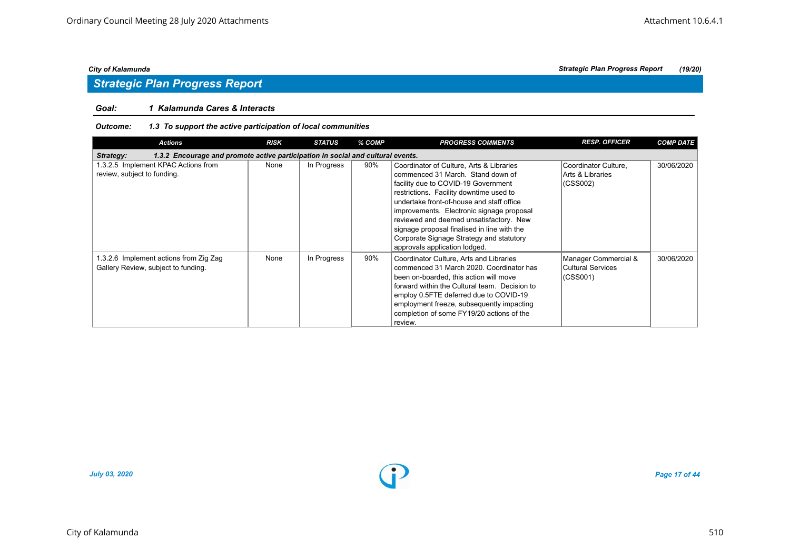## *Strategic Plan Progress Report*

### *Goal: 1 Kalamunda Cares & Interacts*

#### *Outcome: 1.3 To support the active participation of local communities*

| <b>Actions</b>                                                                               | <b>RISK</b> | <b>STATUS</b> | % COMP | <b>PROGRESS COMMENTS</b>                                                                                                                                                                                                                                                                                                                                                                                                         | <b>RESP. OFFICER</b>                                  | <b>COMP DATE</b> |  |  |  |  |
|----------------------------------------------------------------------------------------------|-------------|---------------|--------|----------------------------------------------------------------------------------------------------------------------------------------------------------------------------------------------------------------------------------------------------------------------------------------------------------------------------------------------------------------------------------------------------------------------------------|-------------------------------------------------------|------------------|--|--|--|--|
| 1.3.2 Encourage and promote active participation in social and cultural events.<br>Strategy: |             |               |        |                                                                                                                                                                                                                                                                                                                                                                                                                                  |                                                       |                  |  |  |  |  |
| 1.3.2.5 Implement KPAC Actions from<br>review, subject to funding.                           | None        | In Progress   | 90%    | Coordinator of Culture, Arts & Libraries<br>commenced 31 March. Stand down of<br>facility due to COVID-19 Government<br>restrictions. Facility downtime used to<br>undertake front-of-house and staff office<br>improvements. Electronic signage proposal<br>reviewed and deemed unsatisfactory. New<br>signage proposal finalised in line with the<br>Corporate Signage Strategy and statutory<br>approvals application lodged. | Coordinator Culture,<br>Arts & Libraries<br>(CSS002)  | 30/06/2020       |  |  |  |  |
| 1.3.2.6 Implement actions from Zig Zag<br>Gallery Review, subject to funding.                | None        | In Progress   | 90%    | Coordinator Culture, Arts and Libraries<br>commenced 31 March 2020. Coordinator has<br>been on-boarded, this action will move<br>forward within the Cultural team. Decision to<br>employ 0.5FTE deferred due to COVID-19<br>employment freeze, subsequently impacting<br>completion of some FY19/20 actions of the<br>review.                                                                                                    | Manager Commercial &<br>Cultural Services<br>(CSS001) | 30/06/2020       |  |  |  |  |

![](_page_16_Figure_8.jpeg)

*July 03, 2020 Page 17 of 44*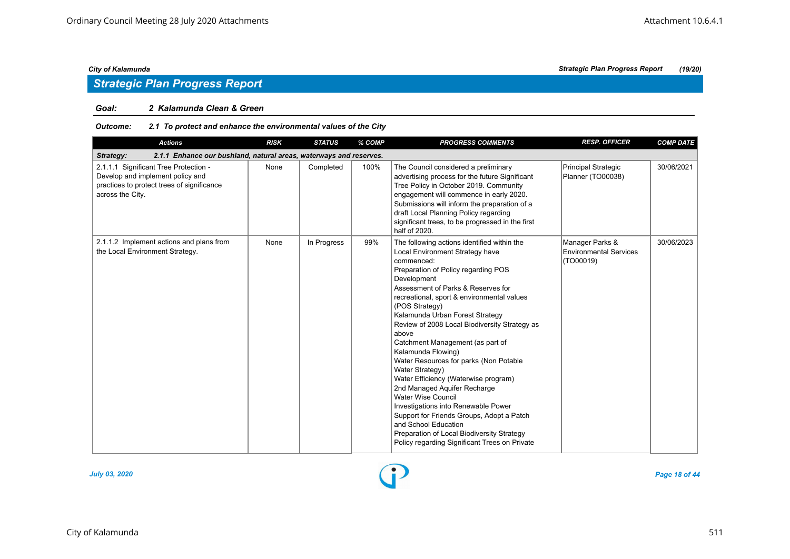## *Strategic Plan Progress Report*

#### *Goal: 2 Kalamunda Clean & Green*

#### *Outcome: 2.1 To protect and enhance the environmental values of the City*

| <b>Actions</b>                                                                                                                              | <b>RISK</b> | <b>STATUS</b> | % COMP | <b>PROGRESS COMMENTS</b>                                                                                                                                                                                                                                                                                                                                                                                                                                                                                                                                                                                                                                                                                                                                                                     | <b>RESP. OFFICER</b>                                          | <b>COMP DATE</b> |  |  |  |
|---------------------------------------------------------------------------------------------------------------------------------------------|-------------|---------------|--------|----------------------------------------------------------------------------------------------------------------------------------------------------------------------------------------------------------------------------------------------------------------------------------------------------------------------------------------------------------------------------------------------------------------------------------------------------------------------------------------------------------------------------------------------------------------------------------------------------------------------------------------------------------------------------------------------------------------------------------------------------------------------------------------------|---------------------------------------------------------------|------------------|--|--|--|
| Strategy:<br>2.1.1 Enhance our bushland, natural areas, waterways and reserves.                                                             |             |               |        |                                                                                                                                                                                                                                                                                                                                                                                                                                                                                                                                                                                                                                                                                                                                                                                              |                                                               |                  |  |  |  |
| 2.1.1.1 Significant Tree Protection -<br>Develop and implement policy and<br>practices to protect trees of significance<br>across the City. | None        | Completed     | 100%   | The Council considered a preliminary<br>advertising process for the future Significant<br>Tree Policy in October 2019. Community<br>engagement will commence in early 2020.<br>Submissions will inform the preparation of a<br>draft Local Planning Policy regarding<br>significant trees, to be progressed in the first<br>half of 2020.                                                                                                                                                                                                                                                                                                                                                                                                                                                    | Principal Strategic<br>Planner (TO00038)                      | 30/06/2021       |  |  |  |
| 2.1.1.2 Implement actions and plans from<br>the Local Environment Strategy.                                                                 | None        | In Progress   | 99%    | The following actions identified within the<br>Local Environment Strategy have<br>commenced:<br>Preparation of Policy regarding POS<br>Development<br>Assessment of Parks & Reserves for<br>recreational, sport & environmental values<br>(POS Strategy)<br>Kalamunda Urban Forest Strategy<br>Review of 2008 Local Biodiversity Strategy as<br>above<br>Catchment Management (as part of<br>Kalamunda Flowing)<br>Water Resources for parks (Non Potable<br>Water Strategy)<br>Water Efficiency (Waterwise program)<br>2nd Managed Aquifer Recharge<br><b>Water Wise Council</b><br>Investigations into Renewable Power<br>Support for Friends Groups, Adopt a Patch<br>and School Education<br>Preparation of Local Biodiversity Strategy<br>Policy regarding Significant Trees on Private | Manager Parks &<br><b>Environmental Services</b><br>(TO00019) | 30/06/2023       |  |  |  |

![](_page_17_Figure_8.jpeg)

*July 03, 2020 Page 18 of 44*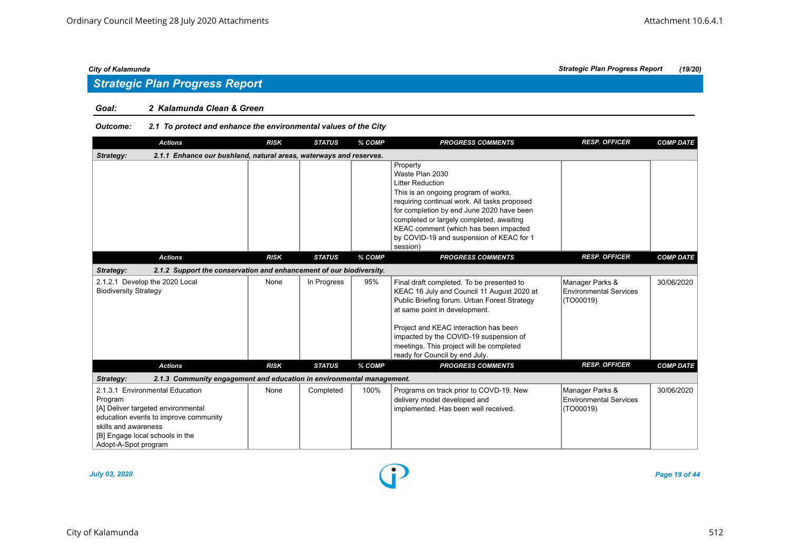## *Strategic Plan Progress Report*

#### *Goal: 2 Kalamunda Clean & Green*

### *Outcome: 2.1 To protect and enhance the environmental values of the City*

| <b>Actions</b>                                                                                                                                                                                               | <b>RISK</b> | <b>STATUS</b> | % COMP | <b>PROGRESS COMMENTS</b>                                                                                                                                                                                                                                                                                                                  | <b>RESP. OFFICER</b>                                          | <b>COMP DATE</b> |  |  |  |
|--------------------------------------------------------------------------------------------------------------------------------------------------------------------------------------------------------------|-------------|---------------|--------|-------------------------------------------------------------------------------------------------------------------------------------------------------------------------------------------------------------------------------------------------------------------------------------------------------------------------------------------|---------------------------------------------------------------|------------------|--|--|--|
| 2.1.1 Enhance our bushland, natural areas, waterways and reserves.<br>Strategy:                                                                                                                              |             |               |        |                                                                                                                                                                                                                                                                                                                                           |                                                               |                  |  |  |  |
|                                                                                                                                                                                                              |             |               |        | Property<br>Waste Plan 2030<br><b>Litter Reduction</b><br>This is an ongoing program of works,<br>requiring continual work. All tasks proposed<br>for completion by end June 2020 have been<br>completed or largely completed, awaiting<br>KEAC comment (which has been impacted<br>by COVID-19 and suspension of KEAC for 1<br>session)  |                                                               |                  |  |  |  |
| <b>Actions</b>                                                                                                                                                                                               | <b>RISK</b> | <b>STATUS</b> | % COMP | <b>PROGRESS COMMENTS</b>                                                                                                                                                                                                                                                                                                                  | <b>RESP. OFFICER</b>                                          | <b>COMP DATE</b> |  |  |  |
| 2.1.2 Support the conservation and enhancement of our biodiversity.<br>Strategy:                                                                                                                             |             |               |        |                                                                                                                                                                                                                                                                                                                                           |                                                               |                  |  |  |  |
| 2.1.2.1 Develop the 2020 Local<br><b>Biodiversity Strategy</b>                                                                                                                                               | None        | In Progress   | 95%    | Final draft completed. To be presented to<br>KEAC 16 July and Council 11 August 2020 at<br>Public Briefing forum. Urban Forest Strategy<br>at same point in development.<br>Project and KEAC interaction has been<br>impacted by the COVID-19 suspension of<br>meetings. This project will be completed<br>ready for Council by end July. | Manager Parks &<br><b>Environmental Services</b><br>(TO00019) | 30/06/2020       |  |  |  |
| <b>Actions</b>                                                                                                                                                                                               | <b>RISK</b> | <b>STATUS</b> | % COMP | <b>PROGRESS COMMENTS</b>                                                                                                                                                                                                                                                                                                                  | <b>RESP. OFFICER</b>                                          | <b>COMP DATE</b> |  |  |  |
| Strategy:<br>2.1.3 Community engagement and education in environmental management.                                                                                                                           |             |               |        |                                                                                                                                                                                                                                                                                                                                           |                                                               |                  |  |  |  |
| 2.1.3.1 Environmental Education<br>Program<br>[A] Deliver targeted environmental<br>education events to improve community<br>skills and awareness<br>[B] Engage local schools in the<br>Adopt-A-Spot program | None        | Completed     | 100%   | Programs on track prior to COVD-19. New<br>delivery model developed and<br>implemented. Has been well received.                                                                                                                                                                                                                           | Manager Parks &<br><b>Environmental Services</b><br>(TO00019) | 30/06/2020       |  |  |  |

*July 03, 2020 Page 19 of 44*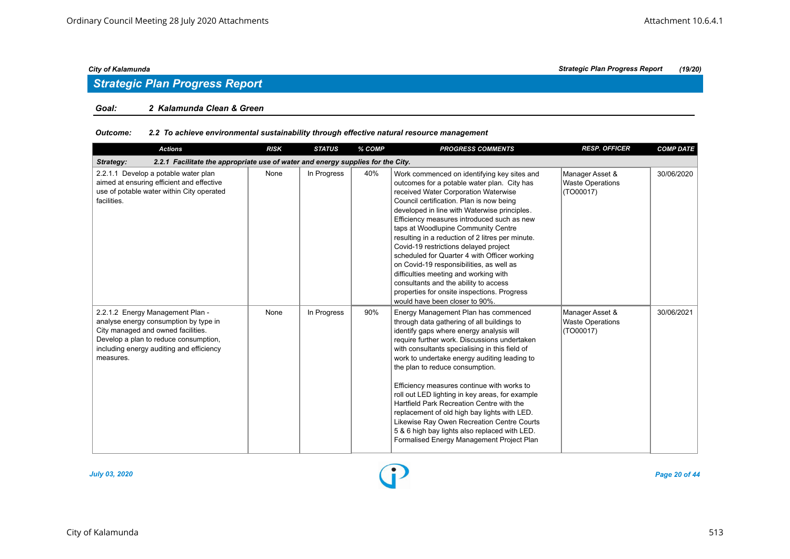## *Strategic Plan Progress Report*

#### *Goal: 2 Kalamunda Clean & Green*

### *Outcome: 2.2 To achieve environmental sustainability through effective natural resource management*

| <b>Actions</b>                                                                                                                                                                                                    | <b>RISK</b> | <b>STATUS</b> | % COMP | <b>PROGRESS COMMENTS</b>                                                                                                                                                                                                                                                                                                                                                                                                                                                                                                                                                                                                                                                        | <b>RESP. OFFICER</b>                                    | <b>COMP DATE</b> |  |  |  |
|-------------------------------------------------------------------------------------------------------------------------------------------------------------------------------------------------------------------|-------------|---------------|--------|---------------------------------------------------------------------------------------------------------------------------------------------------------------------------------------------------------------------------------------------------------------------------------------------------------------------------------------------------------------------------------------------------------------------------------------------------------------------------------------------------------------------------------------------------------------------------------------------------------------------------------------------------------------------------------|---------------------------------------------------------|------------------|--|--|--|
| 2.2.1 Facilitate the appropriate use of water and energy supplies for the City.<br>Strategy:                                                                                                                      |             |               |        |                                                                                                                                                                                                                                                                                                                                                                                                                                                                                                                                                                                                                                                                                 |                                                         |                  |  |  |  |
| 2.2.1.1 Develop a potable water plan<br>aimed at ensuring efficient and effective<br>use of potable water within City operated<br>facilities.                                                                     | None        | In Progress   | 40%    | Work commenced on identifying key sites and<br>outcomes for a potable water plan. City has<br>received Water Corporation Waterwise<br>Council certification. Plan is now being<br>developed in line with Waterwise principles.<br>Efficiency measures introduced such as new<br>taps at Woodlupine Community Centre<br>resulting in a reduction of 2 litres per minute.<br>Covid-19 restrictions delayed project<br>scheduled for Quarter 4 with Officer working<br>on Covid-19 responsibilities, as well as<br>difficulties meeting and working with<br>consultants and the ability to access<br>properties for onsite inspections. Progress<br>would have been closer to 90%. | Manager Asset &<br><b>Waste Operations</b><br>(TO00017) | 30/06/2020       |  |  |  |
| 2.2.1.2 Energy Management Plan -<br>analyse energy consumption by type in<br>City managed and owned facilities.<br>Develop a plan to reduce consumption,<br>including energy auditing and efficiency<br>measures. | None        | In Progress   | 90%    | Energy Management Plan has commenced<br>through data gathering of all buildings to<br>identify gaps where energy analysis will<br>require further work. Discussions undertaken<br>with consultants specialising in this field of<br>work to undertake energy auditing leading to<br>the plan to reduce consumption.<br>Efficiency measures continue with works to<br>roll out LED lighting in key areas, for example<br>Hartfield Park Recreation Centre with the<br>replacement of old high bay lights with LED.<br>Likewise Ray Owen Recreation Centre Courts<br>5 & 6 high bay lights also replaced with LED.<br>Formalised Energy Management Project Plan                   | Manager Asset &<br><b>Waste Operations</b><br>(TO00017) | 30/06/2021       |  |  |  |

![](_page_19_Figure_7.jpeg)

*July 03, 2020 Page 20 of 44*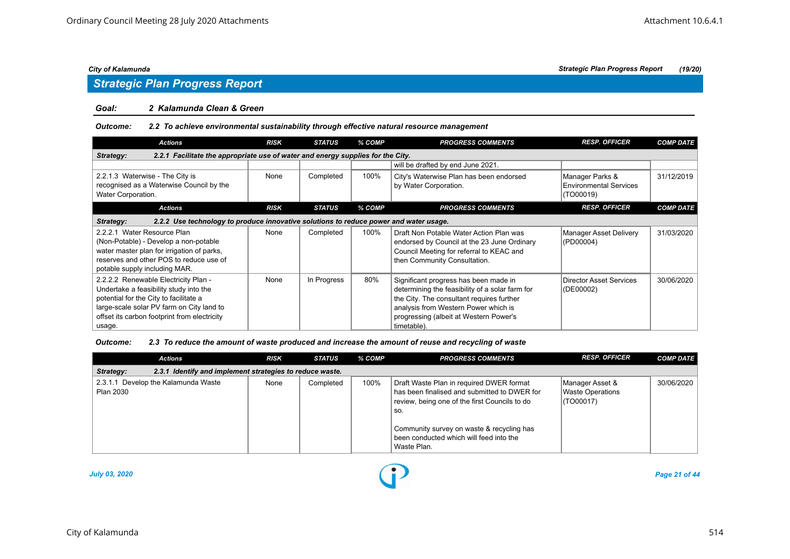## *Strategic Plan Progress Report*

#### *Goal: 2 Kalamunda Clean & Green*

#### *Outcome: 2.2 To achieve environmental sustainability through effective natural resource management*

| <b>Actions</b>                                                                                                                                                                                                                  | <b>RISK</b> | <b>STATUS</b> | % COMP | <b>PROGRESS COMMENTS</b>                                                                                                                                                                                                               | <b>RESP. OFFICER</b>                                          | <b>COMP DATE</b> |  |  |  |
|---------------------------------------------------------------------------------------------------------------------------------------------------------------------------------------------------------------------------------|-------------|---------------|--------|----------------------------------------------------------------------------------------------------------------------------------------------------------------------------------------------------------------------------------------|---------------------------------------------------------------|------------------|--|--|--|
| 2.2.1 Facilitate the appropriate use of water and energy supplies for the City.<br>Strategy:                                                                                                                                    |             |               |        |                                                                                                                                                                                                                                        |                                                               |                  |  |  |  |
|                                                                                                                                                                                                                                 |             |               |        | will be drafted by end June 2021.                                                                                                                                                                                                      |                                                               |                  |  |  |  |
| 2.2.1.3 Waterwise - The City is<br>recognised as a Waterwise Council by the<br>Water Corporation.                                                                                                                               | None        | Completed     | 100%   | City's Waterwise Plan has been endorsed<br>by Water Corporation.                                                                                                                                                                       | Manager Parks &<br><b>Environmental Services</b><br>(TO00019) | 31/12/2019       |  |  |  |
| <b>Actions</b>                                                                                                                                                                                                                  | <b>RISK</b> | <b>STATUS</b> | % COMP | <b>PROGRESS COMMENTS</b>                                                                                                                                                                                                               | <b>RESP. OFFICER</b>                                          | <b>COMP DATE</b> |  |  |  |
| 2.2.2 Use technology to produce innovative solutions to reduce power and water usage.<br>Strategy:                                                                                                                              |             |               |        |                                                                                                                                                                                                                                        |                                                               |                  |  |  |  |
| 2.2.2.1 Water Resource Plan<br>(Non-Potable) - Develop a non-potable<br>water master plan for irrigation of parks,<br>reserves and other POS to reduce use of<br>potable supply including MAR.                                  | None        | Completed     | 100%   | Draft Non Potable Water Action Plan was<br>endorsed by Council at the 23 June Ordinary<br>Council Meeting for referral to KEAC and<br>then Community Consultation.                                                                     | Manager Asset Delivery<br>(PD00004)                           | 31/03/2020       |  |  |  |
| 2.2.2.2 Renewable Electricity Plan -<br>Undertake a feasibility study into the<br>potential for the City to facilitate a<br>large-scale solar PV farm on City land to<br>offset its carbon footprint from electricity<br>usage. | None        | In Progress   | 80%    | Significant progress has been made in<br>determining the feasibility of a solar farm for<br>the City. The consultant requires further<br>analysis from Western Power which is<br>progressing (albeit at Western Power's<br>timetable). | Director Asset Services<br>(DE00002)                          | 30/06/2020       |  |  |  |

#### *Outcome: 2.3 To reduce the amount of waste produced and increase the amount of reuse and recycling of waste*

| <b>Actions</b>                                   | <b>RISK</b>                                              | STATUS    | % COMP | <b>PROGRESS COMMENTS</b>                                                                                                                                                                                                                                | <b>RESP. OFFICER</b>                                    | <b>COMP DATE</b> |  |  |  |  |
|--------------------------------------------------|----------------------------------------------------------|-----------|--------|---------------------------------------------------------------------------------------------------------------------------------------------------------------------------------------------------------------------------------------------------------|---------------------------------------------------------|------------------|--|--|--|--|
| Strategy:                                        | 2.3.1 Identify and implement strategies to reduce waste. |           |        |                                                                                                                                                                                                                                                         |                                                         |                  |  |  |  |  |
| 2.3.1.1 Develop the Kalamunda Waste<br>Plan 2030 | None                                                     | Completed | 100%   | Draft Waste Plan in required DWER format<br>has been finalised and submitted to DWER for<br>review, being one of the first Councils to do<br>SO.<br>Community survey on waste & recycling has<br>been conducted which will feed into the<br>Waste Plan. | Manager Asset &<br><b>Waste Operations</b><br>(TO00017) | 30/06/2020       |  |  |  |  |

![](_page_20_Figure_10.jpeg)

*July 03, 2020 Page 21 of 44*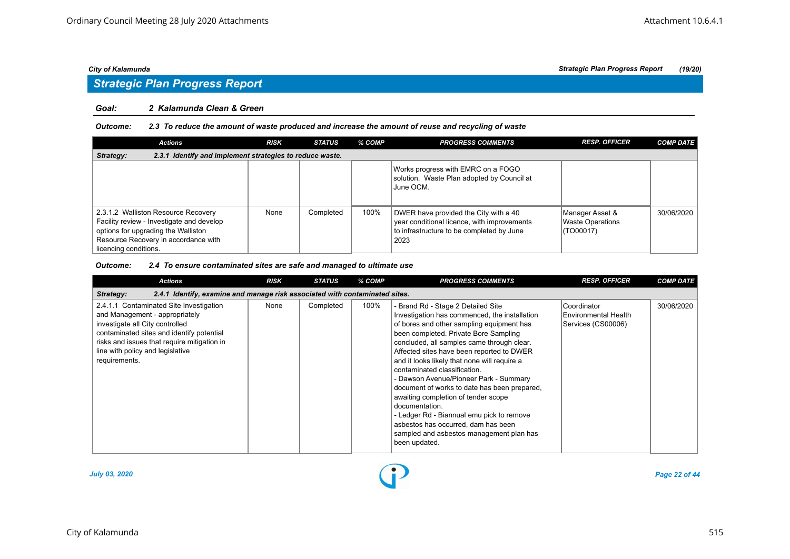## *Strategic Plan Progress Report*

#### *Goal: 2 Kalamunda Clean & Green*

#### *Outcome: 2.3 To reduce the amount of waste produced and increase the amount of reuse and recycling of waste*

| <b>Actions</b>                                                                                                                                                                           | <b>RISK</b> | <b>STATUS</b> | % COMP | <b>PROGRESS COMMENTS</b>                                                                                                                  | <b>RESP. OFFICER</b>                                    | <b>COMP DATE</b> |  |  |  |
|------------------------------------------------------------------------------------------------------------------------------------------------------------------------------------------|-------------|---------------|--------|-------------------------------------------------------------------------------------------------------------------------------------------|---------------------------------------------------------|------------------|--|--|--|
| 2.3.1 Identify and implement strategies to reduce waste.<br>Strategy:                                                                                                                    |             |               |        |                                                                                                                                           |                                                         |                  |  |  |  |
|                                                                                                                                                                                          |             |               |        | Works progress with EMRC on a FOGO<br>solution. Waste Plan adopted by Council at<br>June OCM.                                             |                                                         |                  |  |  |  |
| 2.3.1.2 Walliston Resource Recovery<br>Facility review - Investigate and develop<br>options for upgrading the Walliston<br>Resource Recovery in accordance with<br>licencing conditions. | None        | Completed     | 100%   | DWER have provided the City with a 40<br>year conditional licence, with improvements<br>to infrastructure to be completed by June<br>2023 | Manager Asset &<br><b>Waste Operations</b><br>(TO00017) | 30/06/2020       |  |  |  |

#### *Outcome: 2.4 To ensure contaminated sites are safe and managed to ultimate use*

| <b>Actions</b>                                                                                                                                                                                                                                                | <b>RISK</b> | STATUS    | % COMP | <b>PROGRESS COMMENTS</b>                                                                                                                                                                                                                                                                                                                                                                                                                                                                                                                                                                                                                                 | <b>RESP. OFFICER</b>                                      | <b>COMP DATE</b> |  |  |  |
|---------------------------------------------------------------------------------------------------------------------------------------------------------------------------------------------------------------------------------------------------------------|-------------|-----------|--------|----------------------------------------------------------------------------------------------------------------------------------------------------------------------------------------------------------------------------------------------------------------------------------------------------------------------------------------------------------------------------------------------------------------------------------------------------------------------------------------------------------------------------------------------------------------------------------------------------------------------------------------------------------|-----------------------------------------------------------|------------------|--|--|--|
| 2.4.1 Identify, examine and manage risk associated with contaminated sites.<br>Strategy:                                                                                                                                                                      |             |           |        |                                                                                                                                                                                                                                                                                                                                                                                                                                                                                                                                                                                                                                                          |                                                           |                  |  |  |  |
| 2.4.1.1 Contaminated Site Investigation<br>and Management - appropriately<br>investigate all City controlled<br>contaminated sites and identify potential<br>risks and issues that require mitigation in<br>line with policy and legislative<br>requirements. | None        | Completed | 100%   | - Brand Rd - Stage 2 Detailed Site<br>Investigation has commenced, the installation<br>of bores and other sampling equipment has<br>been completed. Private Bore Sampling<br>concluded, all samples came through clear.<br>Affected sites have been reported to DWER<br>and it looks likely that none will require a<br>contaminated classification.<br>- Dawson Avenue/Pioneer Park - Summary<br>document of works to date has been prepared.<br>awaiting completion of tender scope<br>documentation.<br>- Ledger Rd - Biannual emu pick to remove<br>asbestos has occurred, dam has been<br>sampled and asbestos management plan has<br>been updated. | Coordinator<br>Environmental Health<br>Services (CS00006) | 30/06/2020       |  |  |  |

![](_page_21_Figure_10.jpeg)

*July 03, 2020 Page 22 of 44*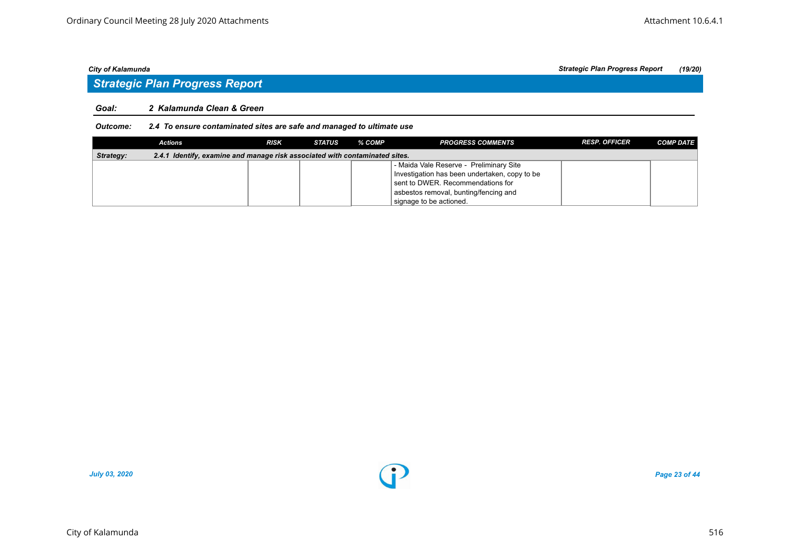## *Strategic Plan Progress Report*

#### *Goal: 2 Kalamunda Clean & Green*

### *Outcome: 2.4 To ensure contaminated sites are safe and managed to ultimate use*

|           | Actions                                                                     | <b>RISK</b> | STATUS | % COMP | <b>PROGRESS COMMENTS</b>                      | <b>RESP. OFFICER</b> | <b>COMP DATE</b> |
|-----------|-----------------------------------------------------------------------------|-------------|--------|--------|-----------------------------------------------|----------------------|------------------|
| Strategy: | 2.4.1 Identify, examine and manage risk associated with contaminated sites. |             |        |        |                                               |                      |                  |
|           |                                                                             |             |        |        | - Maida Vale Reserve - Preliminary Site       |                      |                  |
|           |                                                                             |             |        |        | Investigation has been undertaken, copy to be |                      |                  |
|           |                                                                             |             |        |        | sent to DWER. Recommendations for             |                      |                  |
|           |                                                                             |             |        |        | asbestos removal, bunting/fencing and         |                      |                  |
|           |                                                                             |             |        |        | signage to be actioned.                       |                      |                  |

![](_page_22_Figure_8.jpeg)

*July 03, 2020 Page 23 of 44*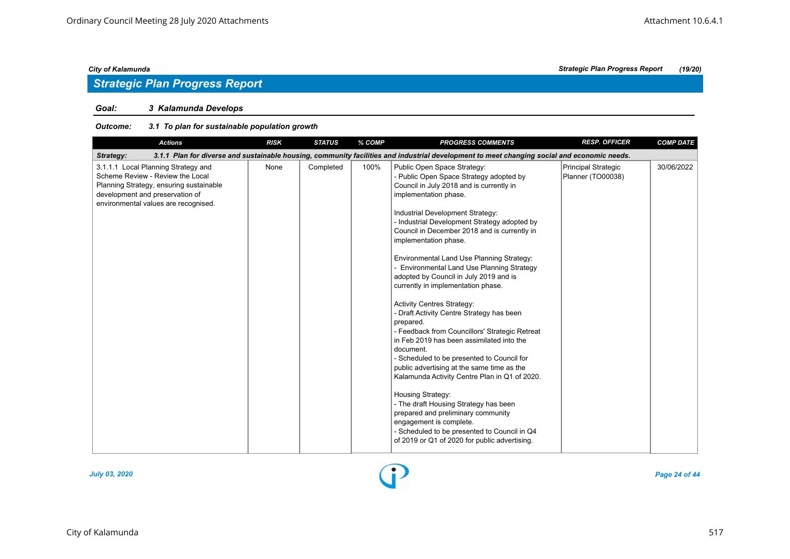## *Strategic Plan Progress Report*

### *Goal: 3 Kalamunda Develops*

#### *Outcome: 3.1 To plan for sustainable population growth*

| <b>Actions</b>                                                                                                                                                                                | <b>RISK</b> | <b>STATUS</b> | % COMP | <b>PROGRESS COMMENTS</b>                                                                                                                                                                                                                                                                                                                                                                                                                                                                                                                                                                                                                                                                                                                                                                                                                                                                                                                                                                                                                                                    | <b>RESP. OFFICER</b>                     | <b>COMP DATE</b> |
|-----------------------------------------------------------------------------------------------------------------------------------------------------------------------------------------------|-------------|---------------|--------|-----------------------------------------------------------------------------------------------------------------------------------------------------------------------------------------------------------------------------------------------------------------------------------------------------------------------------------------------------------------------------------------------------------------------------------------------------------------------------------------------------------------------------------------------------------------------------------------------------------------------------------------------------------------------------------------------------------------------------------------------------------------------------------------------------------------------------------------------------------------------------------------------------------------------------------------------------------------------------------------------------------------------------------------------------------------------------|------------------------------------------|------------------|
| Strategy:                                                                                                                                                                                     |             |               |        | 3.1.1 Plan for diverse and sustainable housing, community facilities and industrial development to meet changing social and economic needs.                                                                                                                                                                                                                                                                                                                                                                                                                                                                                                                                                                                                                                                                                                                                                                                                                                                                                                                                 |                                          |                  |
| 3.1.1.1 Local Planning Strategy and<br>Scheme Review - Review the Local<br>Planning Strategy, ensuring sustainable<br>development and preservation of<br>environmental values are recognised. | None        | Completed     | 100%   | Public Open Space Strategy:<br>- Public Open Space Strategy adopted by<br>Council in July 2018 and is currently in<br>implementation phase.<br>Industrial Development Strategy:<br>- Industrial Development Strategy adopted by<br>Council in December 2018 and is currently in<br>implementation phase.<br>Environmental Land Use Planning Strategy:<br>- Environmental Land Use Planning Strategy<br>adopted by Council in July 2019 and is<br>currently in implementation phase.<br><b>Activity Centres Strategy:</b><br>- Draft Activity Centre Strategy has been<br>prepared.<br>- Feedback from Councillors' Strategic Retreat<br>in Feb 2019 has been assimilated into the<br>document.<br>- Scheduled to be presented to Council for<br>public advertising at the same time as the<br>Kalamunda Activity Centre Plan in Q1 of 2020.<br>Housing Strategy:<br>- The draft Housing Strategy has been<br>prepared and preliminary community<br>engagement is complete.<br>- Scheduled to be presented to Council in Q4<br>of 2019 or Q1 of 2020 for public advertising. | Principal Strategic<br>Planner (TO00038) | 30/06/2022       |

![](_page_23_Figure_8.jpeg)

*July 03, 2020 Page 24 of 44*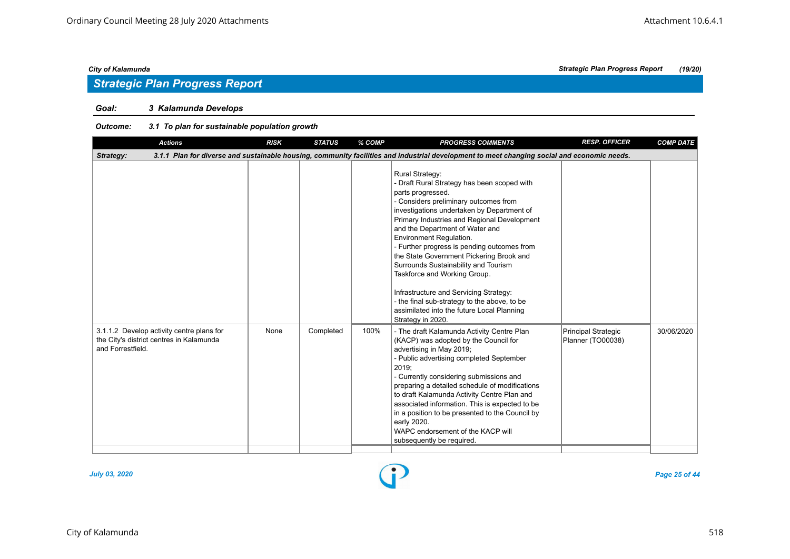## *Strategic Plan Progress Report*

### *Goal: 3 Kalamunda Develops*

#### *Outcome: 3.1 To plan for sustainable population growth*

| <b>Actions</b>                                                                                             | <b>RISK</b> | <b>STATUS</b> | % COMP | <b>PROGRESS COMMENTS</b>                                                                                                                                                                                                                                                                                                                                                                                                                                                                                                                                                                                                       | <b>RESP. OFFICER</b>                            | <b>COMP DATE</b> |
|------------------------------------------------------------------------------------------------------------|-------------|---------------|--------|--------------------------------------------------------------------------------------------------------------------------------------------------------------------------------------------------------------------------------------------------------------------------------------------------------------------------------------------------------------------------------------------------------------------------------------------------------------------------------------------------------------------------------------------------------------------------------------------------------------------------------|-------------------------------------------------|------------------|
| Strategy:                                                                                                  |             |               |        | 3.1.1 Plan for diverse and sustainable housing, community facilities and industrial development to meet changing social and economic needs.                                                                                                                                                                                                                                                                                                                                                                                                                                                                                    |                                                 |                  |
|                                                                                                            |             |               |        | <b>Rural Strategy:</b><br>- Draft Rural Strategy has been scoped with<br>parts progressed.<br>- Considers preliminary outcomes from<br>investigations undertaken by Department of<br>Primary Industries and Regional Development<br>and the Department of Water and<br>Environment Regulation.<br>- Further progress is pending outcomes from<br>the State Government Pickering Brook and<br>Surrounds Sustainability and Tourism<br>Taskforce and Working Group.<br>Infrastructure and Servicing Strategy:<br>- the final sub-strategy to the above, to be<br>assimilated into the future Local Planning<br>Strategy in 2020. |                                                 |                  |
| 3.1.1.2 Develop activity centre plans for<br>the City's district centres in Kalamunda<br>and Forrestfield. | None        | Completed     | 100%   | - The draft Kalamunda Activity Centre Plan<br>(KACP) was adopted by the Council for<br>advertising in May 2019;<br>- Public advertising completed September<br>2019:<br>- Currently considering submissions and<br>preparing a detailed schedule of modifications<br>to draft Kalamunda Activity Centre Plan and<br>associated information. This is expected to be<br>in a position to be presented to the Council by<br>early 2020.<br>WAPC endorsement of the KACP will<br>subsequently be required.                                                                                                                         | <b>Principal Strategic</b><br>Planner (TO00038) | 30/06/2020       |

![](_page_24_Figure_8.jpeg)

*July 03, 2020 Page 25 of 44*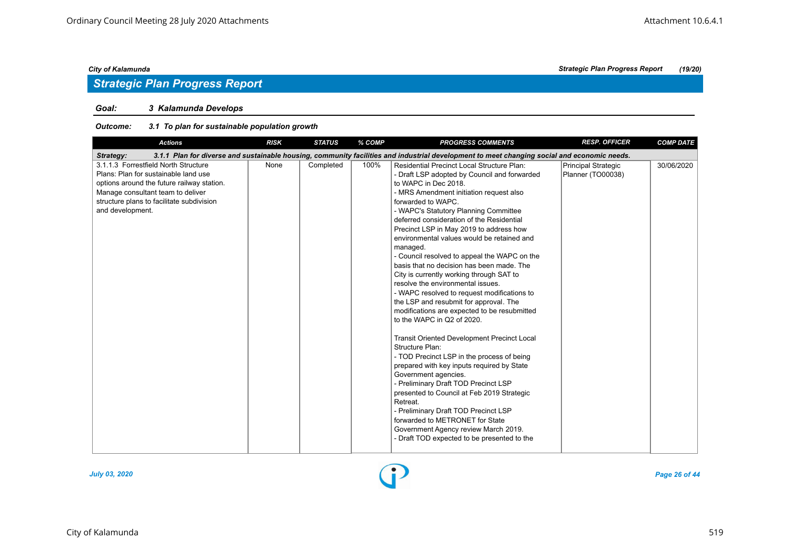## *Strategic Plan Progress Report*

#### *Goal: 3 Kalamunda Develops*

#### *Outcome: 3.1 To plan for sustainable population growth*

| <b>Actions</b>                                                                                                                                                                                                                   | <b>RISK</b> | <b>STATUS</b> | % COMP | <b>PROGRESS COMMENTS</b>                                                                                                                                                                                                                                                                                                                                                                                                                                                                                                                                                                                                                                                                                                                                                                                                                                                                                                                                                                                                                                                                                                                                                                                    | <b>RESP. OFFICER</b>                     | <b>COMP DATE</b> |
|----------------------------------------------------------------------------------------------------------------------------------------------------------------------------------------------------------------------------------|-------------|---------------|--------|-------------------------------------------------------------------------------------------------------------------------------------------------------------------------------------------------------------------------------------------------------------------------------------------------------------------------------------------------------------------------------------------------------------------------------------------------------------------------------------------------------------------------------------------------------------------------------------------------------------------------------------------------------------------------------------------------------------------------------------------------------------------------------------------------------------------------------------------------------------------------------------------------------------------------------------------------------------------------------------------------------------------------------------------------------------------------------------------------------------------------------------------------------------------------------------------------------------|------------------------------------------|------------------|
| Strategy:                                                                                                                                                                                                                        |             |               |        | 3.1.1 Plan for diverse and sustainable housing, community facilities and industrial development to meet changing social and economic needs.                                                                                                                                                                                                                                                                                                                                                                                                                                                                                                                                                                                                                                                                                                                                                                                                                                                                                                                                                                                                                                                                 |                                          |                  |
| 3.1.1.3 Forrestfield North Structure<br>Plans: Plan for sustainable land use<br>options around the future railway station.<br>Manage consultant team to deliver<br>structure plans to facilitate subdivision<br>and development. | None        | Completed     | 100%   | <b>Residential Precinct Local Structure Plan:</b><br>- Draft LSP adopted by Council and forwarded<br>to WAPC in Dec 2018.<br>- MRS Amendment initiation request also<br>forwarded to WAPC.<br>- WAPC's Statutory Planning Committee<br>deferred consideration of the Residential<br>Precinct LSP in May 2019 to address how<br>environmental values would be retained and<br>managed.<br>- Council resolved to appeal the WAPC on the<br>basis that no decision has been made. The<br>City is currently working through SAT to<br>resolve the environmental issues.<br>- WAPC resolved to request modifications to<br>the LSP and resubmit for approval. The<br>modifications are expected to be resubmitted<br>to the WAPC in Q2 of 2020.<br><b>Transit Oriented Development Precinct Local</b><br>Structure Plan:<br>- TOD Precinct LSP in the process of being<br>prepared with key inputs required by State<br>Government agencies.<br>- Preliminary Draft TOD Precinct LSP<br>presented to Council at Feb 2019 Strategic<br>Retreat.<br>- Preliminary Draft TOD Precinct LSP<br>forwarded to METRONET for State<br>Government Agency review March 2019.<br>- Draft TOD expected to be presented to the | Principal Strategic<br>Planner (TO00038) | 30/06/2020       |

![](_page_25_Figure_7.jpeg)

*July 03, 2020 Page 26 of 44*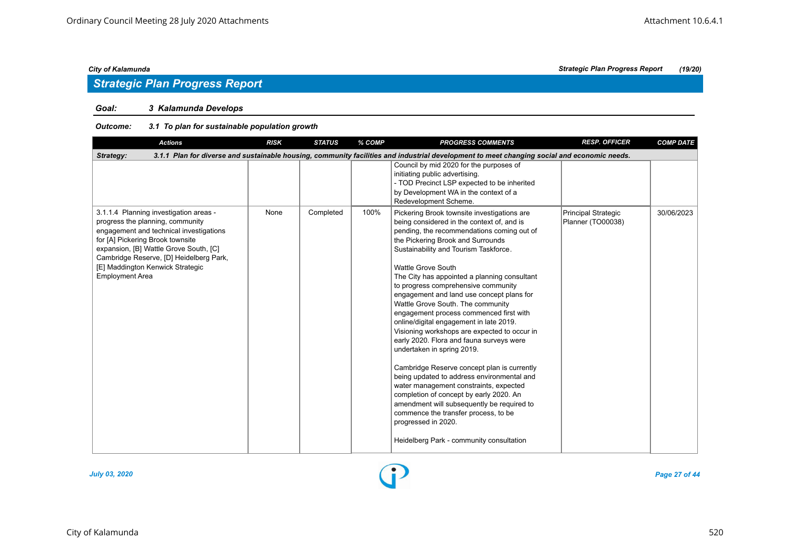## *Strategic Plan Progress Report*

#### *Goal: 3 Kalamunda Develops*

#### *Outcome: 3.1 To plan for sustainable population growth*

| <b>Actions</b>                                                                                                                                                                                                                                                                                               | <b>RISK</b> | <b>STATUS</b> | % COMP | <b>PROGRESS COMMENTS</b>                                                                                                                                                                                                                                                                                                                                                                                                                                                                                                                                                                                                                                                                                                                                                                                                                                                                                                                                                               | <b>RESP. OFFICER</b>                     | <b>COMP DATE</b> |
|--------------------------------------------------------------------------------------------------------------------------------------------------------------------------------------------------------------------------------------------------------------------------------------------------------------|-------------|---------------|--------|----------------------------------------------------------------------------------------------------------------------------------------------------------------------------------------------------------------------------------------------------------------------------------------------------------------------------------------------------------------------------------------------------------------------------------------------------------------------------------------------------------------------------------------------------------------------------------------------------------------------------------------------------------------------------------------------------------------------------------------------------------------------------------------------------------------------------------------------------------------------------------------------------------------------------------------------------------------------------------------|------------------------------------------|------------------|
| Strategy:                                                                                                                                                                                                                                                                                                    |             |               |        | 3.1.1 Plan for diverse and sustainable housing, community facilities and industrial development to meet changing social and economic needs.                                                                                                                                                                                                                                                                                                                                                                                                                                                                                                                                                                                                                                                                                                                                                                                                                                            |                                          |                  |
|                                                                                                                                                                                                                                                                                                              |             |               |        | Council by mid 2020 for the purposes of<br>initiating public advertising.<br>- TOD Precinct LSP expected to be inherited<br>by Development WA in the context of a<br>Redevelopment Scheme.                                                                                                                                                                                                                                                                                                                                                                                                                                                                                                                                                                                                                                                                                                                                                                                             |                                          |                  |
| 3.1.1.4 Planning investigation areas -<br>progress the planning, community<br>engagement and technical investigations<br>for [A] Pickering Brook townsite<br>expansion, [B] Wattle Grove South, [C]<br>Cambridge Reserve, [D] Heidelberg Park,<br>[E] Maddington Kenwick Strategic<br><b>Employment Area</b> | None        | Completed     | 100%   | Pickering Brook townsite investigations are<br>being considered in the context of, and is<br>pending, the recommendations coming out of<br>the Pickering Brook and Surrounds<br>Sustainability and Tourism Taskforce.<br><b>Wattle Grove South</b><br>The City has appointed a planning consultant<br>to progress comprehensive community<br>engagement and land use concept plans for<br>Wattle Grove South. The community<br>engagement process commenced first with<br>online/digital engagement in late 2019.<br>Visioning workshops are expected to occur in<br>early 2020. Flora and fauna surveys were<br>undertaken in spring 2019.<br>Cambridge Reserve concept plan is currently<br>being updated to address environmental and<br>water management constraints, expected<br>completion of concept by early 2020. An<br>amendment will subsequently be required to<br>commence the transfer process, to be<br>progressed in 2020.<br>Heidelberg Park - community consultation | Principal Strategic<br>Planner (TO00038) | 30/06/2023       |

![](_page_26_Figure_8.jpeg)

*July 03, 2020 Page 27 of 44*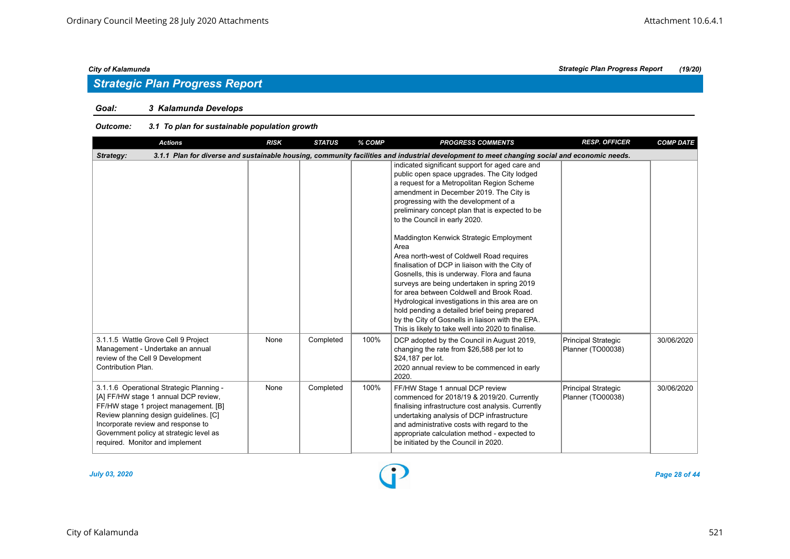#### *Goal: 3 Kalamunda Develops*

#### *Outcome: 3.1 To plan for sustainable population growth*

| <b>Actions</b>                                                                                                                                                                                                                                                                          | <b>RISK</b> | <b>STATUS</b> | % COMP | <b>PROGRESS COMMENTS</b>                                                                                                                                                                                                                                                                                                                                                                                                                                                                                                                                                                                                                                                                                                                                                  | <b>RESP. OFFICER</b>                            | <b>COMP DATE</b> |
|-----------------------------------------------------------------------------------------------------------------------------------------------------------------------------------------------------------------------------------------------------------------------------------------|-------------|---------------|--------|---------------------------------------------------------------------------------------------------------------------------------------------------------------------------------------------------------------------------------------------------------------------------------------------------------------------------------------------------------------------------------------------------------------------------------------------------------------------------------------------------------------------------------------------------------------------------------------------------------------------------------------------------------------------------------------------------------------------------------------------------------------------------|-------------------------------------------------|------------------|
| Strategy:                                                                                                                                                                                                                                                                               |             |               |        | 3.1.1 Plan for diverse and sustainable housing, community facilities and industrial development to meet changing social and economic needs.                                                                                                                                                                                                                                                                                                                                                                                                                                                                                                                                                                                                                               |                                                 |                  |
|                                                                                                                                                                                                                                                                                         |             |               |        | indicated significant support for aged care and<br>public open space upgrades. The City lodged<br>a request for a Metropolitan Region Scheme<br>amendment in December 2019. The City is<br>progressing with the development of a<br>preliminary concept plan that is expected to be<br>to the Council in early 2020.<br>Maddington Kenwick Strategic Employment<br>Area<br>Area north-west of Coldwell Road requires<br>finalisation of DCP in liaison with the City of<br>Gosnells, this is underway. Flora and fauna<br>surveys are being undertaken in spring 2019<br>for area between Coldwell and Brook Road.<br>Hydrological investigations in this area are on<br>hold pending a detailed brief being prepared<br>by the City of Gosnells in liaison with the EPA. |                                                 |                  |
| 3.1.1.5 Wattle Grove Cell 9 Project<br>Management - Undertake an annual<br>review of the Cell 9 Development<br>Contribution Plan.                                                                                                                                                       | None        | Completed     | 100%   | This is likely to take well into 2020 to finalise.<br>DCP adopted by the Council in August 2019,<br>changing the rate from \$26,588 per lot to<br>\$24,187 per lot.<br>2020 annual review to be commenced in early<br>2020.                                                                                                                                                                                                                                                                                                                                                                                                                                                                                                                                               | <b>Principal Strategic</b><br>Planner (TO00038) | 30/06/2020       |
| 3.1.1.6 Operational Strategic Planning -<br>[A] FF/HW stage 1 annual DCP review,<br>FF/HW stage 1 project management. [B]<br>Review planning design guidelines. [C]<br>Incorporate review and response to<br>Government policy at strategic level as<br>required. Monitor and implement | None        | Completed     | 100%   | FF/HW Stage 1 annual DCP review<br>commenced for 2018/19 & 2019/20. Currently<br>finalising infrastructure cost analysis. Currently<br>undertaking analysis of DCP infrastructure<br>and administrative costs with regard to the<br>appropriate calculation method - expected to<br>be initiated by the Council in 2020.                                                                                                                                                                                                                                                                                                                                                                                                                                                  | Principal Strategic<br>Planner (TO00038)        | 30/06/2020       |

*July 03, 2020 Page 28 of 44*

*City of Kalamunda Strategic Plan Progress Report (19/20)*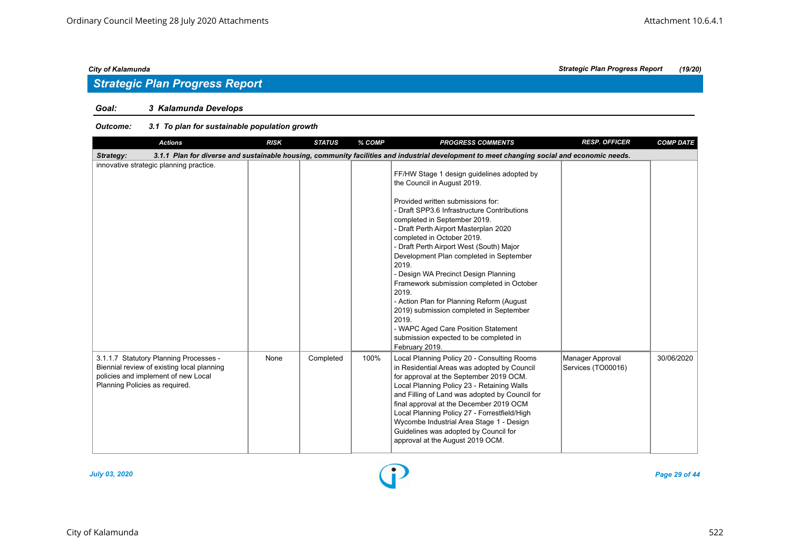## *Strategic Plan Progress Report*

### *Goal: 3 Kalamunda Develops*

#### *Outcome: 3.1 To plan for sustainable population growth*

| <b>Actions</b>                                                                                                                                                | <b>RISK</b> | <b>STATUS</b> | % COMP | <b>PROGRESS COMMENTS</b>                                                                                                                                                                                                                                                                                                                                                                                                                                                                                                                                                                                                                                               | <b>RESP. OFFICER</b>                   | <b>COMP DATE</b> |
|---------------------------------------------------------------------------------------------------------------------------------------------------------------|-------------|---------------|--------|------------------------------------------------------------------------------------------------------------------------------------------------------------------------------------------------------------------------------------------------------------------------------------------------------------------------------------------------------------------------------------------------------------------------------------------------------------------------------------------------------------------------------------------------------------------------------------------------------------------------------------------------------------------------|----------------------------------------|------------------|
| Strategy:                                                                                                                                                     |             |               |        | 3.1.1 Plan for diverse and sustainable housing, community facilities and industrial development to meet changing social and economic needs.                                                                                                                                                                                                                                                                                                                                                                                                                                                                                                                            |                                        |                  |
| innovative strategic planning practice.                                                                                                                       |             |               |        | FF/HW Stage 1 design guidelines adopted by<br>the Council in August 2019.<br>Provided written submissions for:<br>- Draft SPP3.6 Infrastructure Contributions<br>completed in September 2019.<br>- Draft Perth Airport Masterplan 2020<br>completed in October 2019.<br>- Draft Perth Airport West (South) Major<br>Development Plan completed in September<br>2019.<br>- Design WA Precinct Design Planning<br>Framework submission completed in October<br>2019.<br>- Action Plan for Planning Reform (August<br>2019) submission completed in September<br>2019.<br>- WAPC Aged Care Position Statement<br>submission expected to be completed in<br>February 2019. |                                        |                  |
| 3.1.1.7 Statutory Planning Processes -<br>Biennial review of existing local planning<br>policies and implement of new Local<br>Planning Policies as required. | None        | Completed     | 100%   | Local Planning Policy 20 - Consulting Rooms<br>in Residential Areas was adopted by Council<br>for approval at the September 2019 OCM.<br>Local Planning Policy 23 - Retaining Walls<br>and Filling of Land was adopted by Council for<br>final approval at the December 2019 OCM<br>Local Planning Policy 27 - Forrestfield/High<br>Wycombe Industrial Area Stage 1 - Design<br>Guidelines was adopted by Council for<br>approval at the August 2019 OCM.                                                                                                                                                                                                              | Manager Approval<br>Services (TO00016) | 30/06/2020       |

![](_page_28_Figure_8.jpeg)

*July 03, 2020 Page 29 of 44*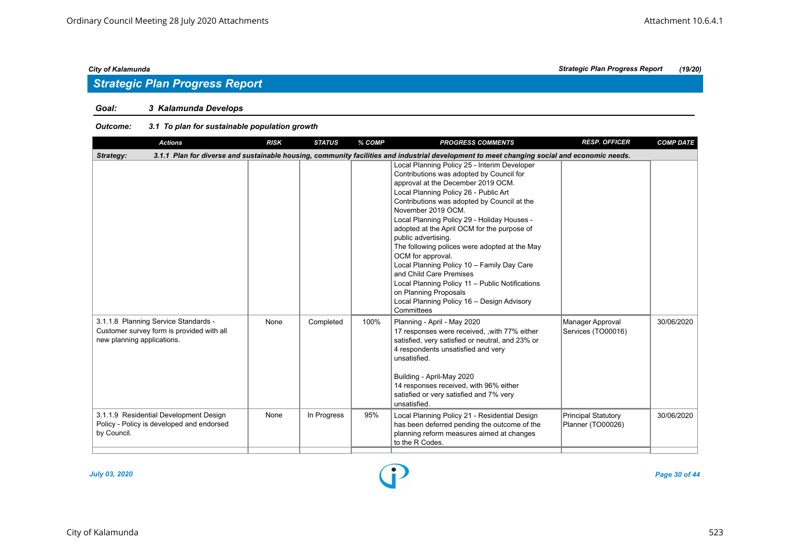### *Goal: 3 Kalamunda Develops*

#### *Outcome: 3.1 To plan for sustainable population growth*

| <b>Actions</b>                                                                                                  | <b>RISK</b> | <b>STATUS</b> | % COMP | <b>PROGRESS COMMENTS</b>                                                                                                                                                                                                                                                                                                                                                                                                                                                                                                                                                                                                                                 | <b>RESP. OFFICER</b>                            | <b>COMP DATE</b> |
|-----------------------------------------------------------------------------------------------------------------|-------------|---------------|--------|----------------------------------------------------------------------------------------------------------------------------------------------------------------------------------------------------------------------------------------------------------------------------------------------------------------------------------------------------------------------------------------------------------------------------------------------------------------------------------------------------------------------------------------------------------------------------------------------------------------------------------------------------------|-------------------------------------------------|------------------|
| Strategy:                                                                                                       |             |               |        | 3.1.1 Plan for diverse and sustainable housing, community facilities and industrial development to meet changing social and economic needs.                                                                                                                                                                                                                                                                                                                                                                                                                                                                                                              |                                                 |                  |
|                                                                                                                 |             |               |        | Local Planning Policy 25 - Interim Developer<br>Contributions was adopted by Council for<br>approval at the December 2019 OCM.<br>Local Planning Policy 26 - Public Art<br>Contributions was adopted by Council at the<br>November 2019 OCM.<br>Local Planning Policy 29 - Holiday Houses -<br>adopted at the April OCM for the purpose of<br>public advertising.<br>The following polices were adopted at the May<br>OCM for approval.<br>Local Planning Policy 10 - Family Day Care<br>and Child Care Premises<br>Local Planning Policy 11 - Public Notifications<br>on Planning Proposals<br>Local Planning Policy 16 - Design Advisory<br>Committees |                                                 |                  |
| 3.1.1.8 Planning Service Standards -<br>Customer survey form is provided with all<br>new planning applications. | None        | Completed     | 100%   | Planning - April - May 2020<br>17 responses were received, , with 77% either<br>satisfied, very satisfied or neutral, and 23% or<br>4 respondents unsatisfied and very<br>unsatisfied.<br>Building - April-May 2020<br>14 responses received, with 96% either<br>satisfied or very satisfied and 7% very<br>unsatisfied.                                                                                                                                                                                                                                                                                                                                 | Manager Approval<br>Services (TO00016)          | 30/06/2020       |
| 3.1.1.9 Residential Development Design<br>Policy - Policy is developed and endorsed<br>by Council.              | None        | In Progress   | 95%    | Local Planning Policy 21 - Residential Design<br>has been deferred pending the outcome of the<br>planning reform measures aimed at changes<br>to the R Codes.                                                                                                                                                                                                                                                                                                                                                                                                                                                                                            | <b>Principal Statutory</b><br>Planner (TO00026) | 30/06/2020       |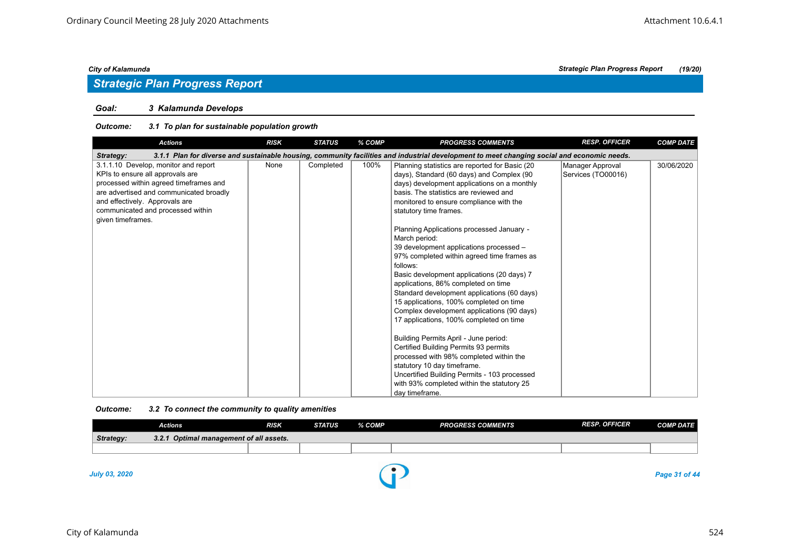#### *Goal: 3 Kalamunda Develops*

#### *Outcome: 3.1 To plan for sustainable population growth*

| <b>Actions</b>                                                                                                                                                                                                                                            | <b>RISK</b> | <b>STATUS</b> | % COMP | <b>PROGRESS COMMENTS</b>                                                                                                                                                                                                                                                                                                                                                                                                                                                                                                                                                                                                                                                                                                                                                                                                                                                                                                                                                         | <b>RESP. OFFICER</b>                   | <b>COMP DATE</b> |
|-----------------------------------------------------------------------------------------------------------------------------------------------------------------------------------------------------------------------------------------------------------|-------------|---------------|--------|----------------------------------------------------------------------------------------------------------------------------------------------------------------------------------------------------------------------------------------------------------------------------------------------------------------------------------------------------------------------------------------------------------------------------------------------------------------------------------------------------------------------------------------------------------------------------------------------------------------------------------------------------------------------------------------------------------------------------------------------------------------------------------------------------------------------------------------------------------------------------------------------------------------------------------------------------------------------------------|----------------------------------------|------------------|
| Strategy:                                                                                                                                                                                                                                                 |             |               |        | 3.1.1 Plan for diverse and sustainable housing, community facilities and industrial development to meet changing social and economic needs.                                                                                                                                                                                                                                                                                                                                                                                                                                                                                                                                                                                                                                                                                                                                                                                                                                      |                                        |                  |
| 3.1.1.10 Develop, monitor and report<br>KPIs to ensure all approvals are<br>processed within agreed timeframes and<br>are advertised and communicated broadly<br>and effectively. Approvals are<br>communicated and processed within<br>given timeframes. | None        | Completed     | 100%   | Planning statistics are reported for Basic (20<br>days), Standard (60 days) and Complex (90<br>days) development applications on a monthly<br>basis. The statistics are reviewed and<br>monitored to ensure compliance with the<br>statutory time frames.<br>Planning Applications processed January -<br>March period:<br>39 development applications processed -<br>97% completed within agreed time frames as<br>follows:<br>Basic development applications (20 days) 7<br>applications, 86% completed on time<br>Standard development applications (60 days)<br>15 applications, 100% completed on time<br>Complex development applications (90 days)<br>17 applications, 100% completed on time<br>Building Permits April - June period:<br>Certified Building Permits 93 permits<br>processed with 98% completed within the<br>statutory 10 day timeframe.<br>Uncertified Building Permits - 103 processed<br>with 93% completed within the statutory 25<br>day timeframe. | Manager Approval<br>Services (TO00016) | 30/06/2020       |

#### *Outcome: 3.2 To connect the community to quality amenities*

|                      | <b>Actions</b>                          | <b>RISK</b> | <b>STATUS</b> | % COMP | <b>PROGRESS COMMENTS</b> | <b>RESP. OFFICER</b> | <b>COMP DATE</b> |
|----------------------|-----------------------------------------|-------------|---------------|--------|--------------------------|----------------------|------------------|
| Strategy:            | 3.2.1 Optimal management of all assets. |             |               |        |                          |                      |                  |
|                      |                                         |             |               |        |                          |                      |                  |
| <b>July 03, 2020</b> |                                         |             |               |        |                          |                      | Page 31 of 44    |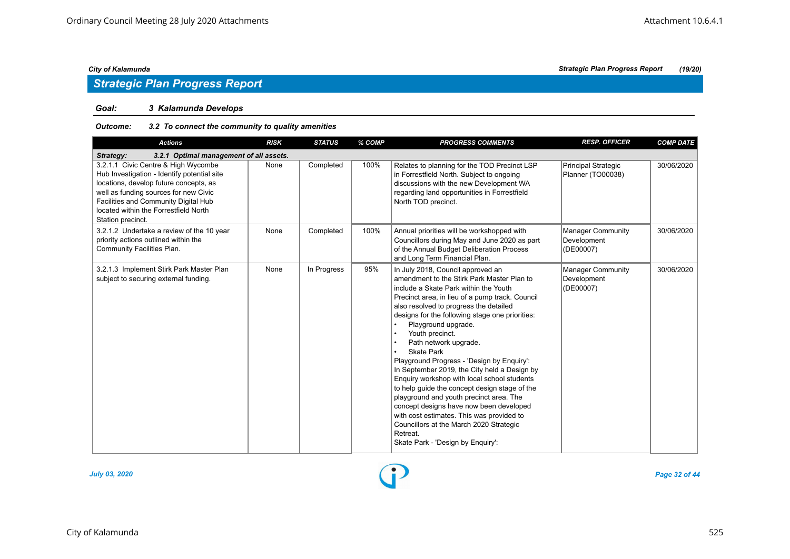#### *Goal: 3 Kalamunda Develops*

#### *Outcome: 3.2 To connect the community to quality amenities*

| <b>Actions</b>                                                                                                                                                                                                                                                              | <b>RISK</b> | <b>STATUS</b> | % COMP | <b>PROGRESS COMMENTS</b>                                                                                                                                                                                                                                                                                                                                                                                                                                                                                                                                                                                                                                                                                                                                                                                                             | <b>RESP. OFFICER</b>                                 | <b>COMP DATE</b> |  |  |  |  |
|-----------------------------------------------------------------------------------------------------------------------------------------------------------------------------------------------------------------------------------------------------------------------------|-------------|---------------|--------|--------------------------------------------------------------------------------------------------------------------------------------------------------------------------------------------------------------------------------------------------------------------------------------------------------------------------------------------------------------------------------------------------------------------------------------------------------------------------------------------------------------------------------------------------------------------------------------------------------------------------------------------------------------------------------------------------------------------------------------------------------------------------------------------------------------------------------------|------------------------------------------------------|------------------|--|--|--|--|
| 3.2.1 Optimal management of all assets.<br>Strategy:                                                                                                                                                                                                                        |             |               |        |                                                                                                                                                                                                                                                                                                                                                                                                                                                                                                                                                                                                                                                                                                                                                                                                                                      |                                                      |                  |  |  |  |  |
| 3.2.1.1 Civic Centre & High Wycombe<br>Hub Investigation - Identify potential site<br>locations, develop future concepts, as<br>well as funding sources for new Civic<br>Facilities and Community Digital Hub<br>located within the Forrestfield North<br>Station precinct. | None        | Completed     | 100%   | Relates to planning for the TOD Precinct LSP<br>in Forrestfield North. Subject to ongoing<br>discussions with the new Development WA<br>regarding land opportunities in Forrestfield<br>North TOD precinct.                                                                                                                                                                                                                                                                                                                                                                                                                                                                                                                                                                                                                          | Principal Strategic<br>Planner (TO00038)             | 30/06/2020       |  |  |  |  |
| 3.2.1.2 Undertake a review of the 10 year<br>priority actions outlined within the<br>Community Facilities Plan.                                                                                                                                                             | None        | Completed     | 100%   | Annual priorities will be workshopped with<br>Councillors during May and June 2020 as part<br>of the Annual Budget Deliberation Process<br>and Long Term Financial Plan.                                                                                                                                                                                                                                                                                                                                                                                                                                                                                                                                                                                                                                                             | Manager Community<br>Development<br>(DE00007)        | 30/06/2020       |  |  |  |  |
| 3.2.1.3 Implement Stirk Park Master Plan<br>subject to securing external funding.                                                                                                                                                                                           | None        | In Progress   | 95%    | In July 2018, Council approved an<br>amendment to the Stirk Park Master Plan to<br>include a Skate Park within the Youth<br>Precinct area, in lieu of a pump track. Council<br>also resolved to progress the detailed<br>designs for the following stage one priorities:<br>Playground upgrade.<br>$\bullet$<br>Youth precinct.<br>$\bullet$<br>Path network upgrade.<br>$\bullet$<br><b>Skate Park</b><br>Playground Progress - 'Design by Enquiry':<br>In September 2019, the City held a Design by<br>Enquiry workshop with local school students<br>to help guide the concept design stage of the<br>playground and youth precinct area. The<br>concept designs have now been developed<br>with cost estimates. This was provided to<br>Councillors at the March 2020 Strategic<br>Retreat.<br>Skate Park - 'Design by Enquiry': | <b>Manager Community</b><br>Development<br>(DE00007) | 30/06/2020       |  |  |  |  |

![](_page_31_Figure_9.jpeg)

*July 03, 2020 Page 32 of 44*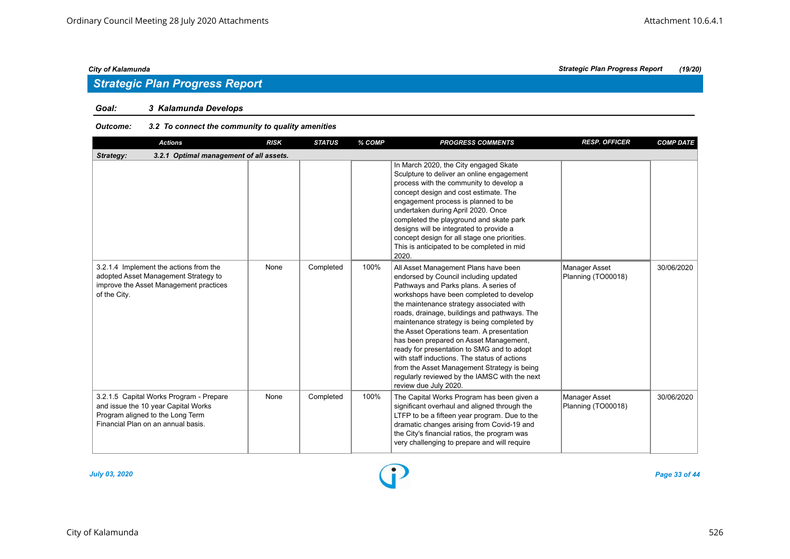## *Strategic Plan Progress Report*

#### *Goal: 3 Kalamunda Develops*

#### *Outcome: 3.2 To connect the community to quality amenities*

| <b>Actions</b>                                                                                                                                           | <b>RISK</b> | <b>STATUS</b> | % COMP | <b>PROGRESS COMMENTS</b>                                                                                                                                                                                                                                                                                                                                                                                                                                                                                                                                                                                                   | <b>RESP. OFFICER</b>                | <b>COMP DATE</b> |  |  |  |  |
|----------------------------------------------------------------------------------------------------------------------------------------------------------|-------------|---------------|--------|----------------------------------------------------------------------------------------------------------------------------------------------------------------------------------------------------------------------------------------------------------------------------------------------------------------------------------------------------------------------------------------------------------------------------------------------------------------------------------------------------------------------------------------------------------------------------------------------------------------------------|-------------------------------------|------------------|--|--|--|--|
| 3.2.1 Optimal management of all assets.<br>Strategy:                                                                                                     |             |               |        |                                                                                                                                                                                                                                                                                                                                                                                                                                                                                                                                                                                                                            |                                     |                  |  |  |  |  |
|                                                                                                                                                          |             |               |        | In March 2020, the City engaged Skate<br>Sculpture to deliver an online engagement<br>process with the community to develop a<br>concept design and cost estimate. The<br>engagement process is planned to be<br>undertaken during April 2020. Once<br>completed the playground and skate park<br>designs will be integrated to provide a<br>concept design for all stage one priorities.<br>This is anticipated to be completed in mid<br>2020.                                                                                                                                                                           |                                     |                  |  |  |  |  |
| 3.2.1.4 Implement the actions from the<br>adopted Asset Management Strategy to<br>improve the Asset Management practices<br>of the City.                 | None        | Completed     | 100%   | All Asset Management Plans have been<br>endorsed by Council including updated<br>Pathways and Parks plans. A series of<br>workshops have been completed to develop<br>the maintenance strategy associated with<br>roads, drainage, buildings and pathways. The<br>maintenance strategy is being completed by<br>the Asset Operations team. A presentation<br>has been prepared on Asset Management,<br>ready for presentation to SMG and to adopt<br>with staff inductions. The status of actions<br>from the Asset Management Strategy is being<br>regularly reviewed by the IAMSC with the next<br>review due July 2020. | Manager Asset<br>Planning (TO00018) | 30/06/2020       |  |  |  |  |
| 3.2.1.5 Capital Works Program - Prepare<br>and issue the 10 year Capital Works<br>Program aligned to the Long Term<br>Financial Plan on an annual basis. | None        | Completed     | 100%   | The Capital Works Program has been given a<br>significant overhaul and aligned through the<br>LTFP to be a fifteen year program. Due to the<br>dramatic changes arising from Covid-19 and<br>the City's financial ratios, the program was<br>very challenging to prepare and will require                                                                                                                                                                                                                                                                                                                                  | Manager Asset<br>Planning (TO00018) | 30/06/2020       |  |  |  |  |

![](_page_32_Figure_9.jpeg)

*July 03, 2020 Page 33 of 44*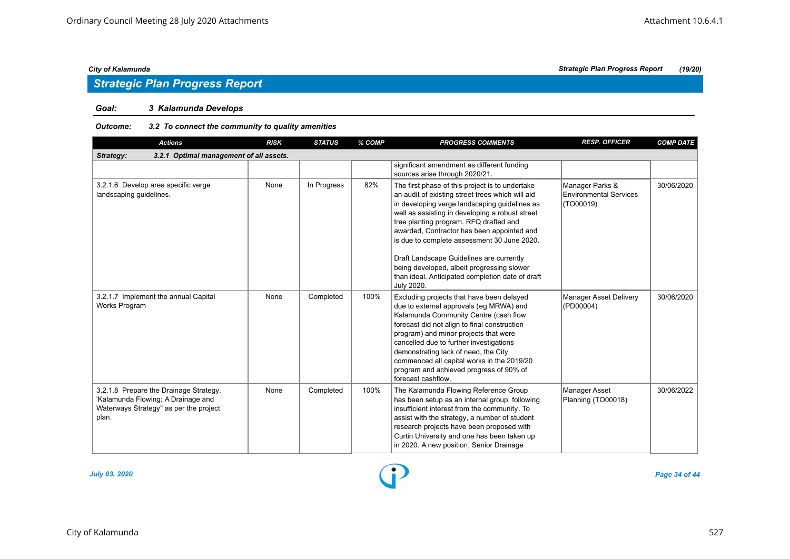## *Strategic Plan Progress Report*

#### *Goal: 3 Kalamunda Develops*

#### *Outcome: 3.2 To connect the community to quality amenities*

| <b>Actions</b>                                                                                                                  | <b>RISK</b> | <b>STATUS</b> | % COMP | <b>PROGRESS COMMENTS</b>                                                                                                                                                                                                                                                                                                                                                                                                                                                                                   | <b>RESP. OFFICER</b>                                          | <b>COMP DATE</b> |  |  |  |  |
|---------------------------------------------------------------------------------------------------------------------------------|-------------|---------------|--------|------------------------------------------------------------------------------------------------------------------------------------------------------------------------------------------------------------------------------------------------------------------------------------------------------------------------------------------------------------------------------------------------------------------------------------------------------------------------------------------------------------|---------------------------------------------------------------|------------------|--|--|--|--|
| Strategy:<br>3.2.1 Optimal management of all assets.                                                                            |             |               |        |                                                                                                                                                                                                                                                                                                                                                                                                                                                                                                            |                                                               |                  |  |  |  |  |
|                                                                                                                                 |             |               |        | significant amendment as different funding<br>sources arise through 2020/21.                                                                                                                                                                                                                                                                                                                                                                                                                               |                                                               |                  |  |  |  |  |
| 3.2.1.6 Develop area specific verge<br>landscaping quidelines.                                                                  | None        | In Progress   | 82%    | The first phase of this project is to undertake<br>an audit of existing street trees which will aid<br>in developing verge landscaping guidelines as<br>well as assisting in developing a robust street<br>tree planting program. RFQ drafted and<br>awarded, Contractor has been appointed and<br>is due to complete assessment 30 June 2020.<br>Draft Landscape Guidelines are currently<br>being developed, albeit progressing slower<br>than ideal. Anticipated completion date of draft<br>July 2020. | Manager Parks &<br><b>Environmental Services</b><br>(TO00019) | 30/06/2020       |  |  |  |  |
| 3.2.1.7 Implement the annual Capital<br>Works Program                                                                           | None        | Completed     | 100%   | Excluding projects that have been delayed<br>due to external approvals (eg MRWA) and<br>Kalamunda Community Centre (cash flow<br>forecast did not align to final construction<br>program) and minor projects that were<br>cancelled due to further investigations<br>demonstrating lack of need, the City<br>commenced all capital works in the 2019/20<br>program and achieved progress of 90% of<br>forecast cashflow.                                                                                   | Manager Asset Delivery<br>(PD00004)                           | 30/06/2020       |  |  |  |  |
| 3.2.1.8 Prepare the Drainage Strategy,<br>'Kalamunda Flowing: A Drainage and<br>Waterways Strategy" as per the project<br>plan. | None        | Completed     | 100%   | The Kalamunda Flowing Reference Group<br>has been setup as an internal group, following<br>insufficient interest from the community. To<br>assist with the strategy, a number of student<br>research projects have been proposed with<br>Curtin University and one has been taken up<br>in 2020. A new position, Senior Drainage                                                                                                                                                                           | <b>Manager Asset</b><br>Planning (TO00018)                    | 30/06/2022       |  |  |  |  |

![](_page_33_Figure_9.jpeg)

*July 03, 2020 Page 34 of 44*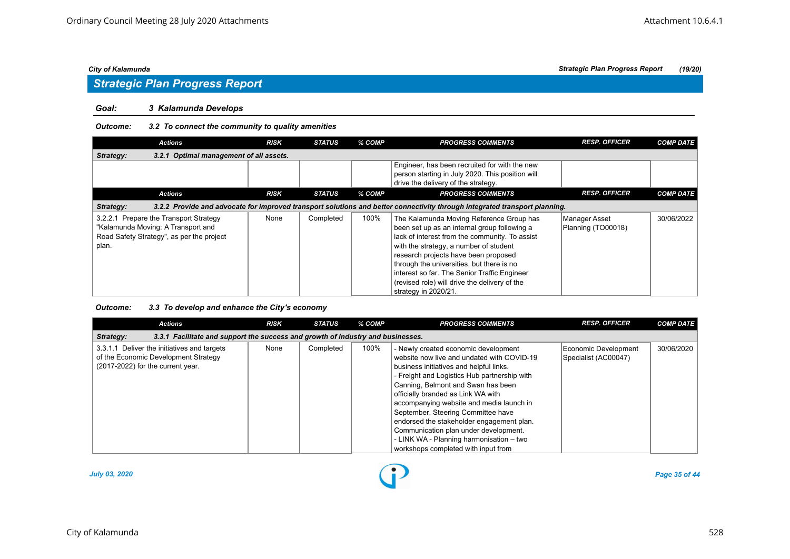## *Strategic Plan Progress Report*

#### *Goal: 3 Kalamunda Develops*

#### *Outcome: 3.2 To connect the community to quality amenities*

| <b>Actions</b>                                                                                                                     | <b>RISK</b>                                                                                                                | <b>STATUS</b> | % COMP | <b>PROGRESS COMMENTS</b>                                                                                                                                                                                                                                                                                                                                                                           | <b>RESP. OFFICER</b>                | <b>COMP DATE</b> |  |  |  |  |
|------------------------------------------------------------------------------------------------------------------------------------|----------------------------------------------------------------------------------------------------------------------------|---------------|--------|----------------------------------------------------------------------------------------------------------------------------------------------------------------------------------------------------------------------------------------------------------------------------------------------------------------------------------------------------------------------------------------------------|-------------------------------------|------------------|--|--|--|--|
| 3.2.1 Optimal management of all assets.<br>Strategy:                                                                               |                                                                                                                            |               |        |                                                                                                                                                                                                                                                                                                                                                                                                    |                                     |                  |  |  |  |  |
|                                                                                                                                    |                                                                                                                            |               |        | Engineer, has been recruited for with the new<br>person starting in July 2020. This position will<br>drive the delivery of the strategy.                                                                                                                                                                                                                                                           |                                     |                  |  |  |  |  |
| <b>Actions</b>                                                                                                                     | <b>RISK</b>                                                                                                                | <b>STATUS</b> | % COMP | <b>PROGRESS COMMENTS</b>                                                                                                                                                                                                                                                                                                                                                                           | <b>RESP. OFFICER</b>                | <b>COMP DATE</b> |  |  |  |  |
| Strategy:                                                                                                                          | 3.2.2 Provide and advocate for improved transport solutions and better connectivity through integrated transport planning. |               |        |                                                                                                                                                                                                                                                                                                                                                                                                    |                                     |                  |  |  |  |  |
| 3.2.2.1 Prepare the Transport Strategy<br>"Kalamunda Moving: A Transport and<br>Road Safety Strategy", as per the project<br>plan. | None                                                                                                                       | Completed     | 100%   | The Kalamunda Moving Reference Group has<br>been set up as an internal group following a<br>lack of interest from the community. To assist<br>with the strategy, a number of student<br>research projects have been proposed<br>through the universities, but there is no<br>interest so far. The Senior Traffic Engineer<br>(revised role) will drive the delivery of the<br>strategy in 2020/21. | Manager Asset<br>Planning (TO00018) | 30/06/2022       |  |  |  |  |

#### *Outcome: 3.3 To develop and enhance the City's economy*

| <b>Actions</b>                                                                                                           | <b>RISK</b> | <b>STATUS</b> | % COMP | <b>PROGRESS COMMENTS</b>                                                                                                                                                                                                                                                                                                                                                                                                                                                                                             | <b>RESP. OFFICER</b>                         | <b>COMP DATE</b> |  |  |  |  |
|--------------------------------------------------------------------------------------------------------------------------|-------------|---------------|--------|----------------------------------------------------------------------------------------------------------------------------------------------------------------------------------------------------------------------------------------------------------------------------------------------------------------------------------------------------------------------------------------------------------------------------------------------------------------------------------------------------------------------|----------------------------------------------|------------------|--|--|--|--|
| 3.3.1 Facilitate and support the success and growth of industry and businesses.<br>Strategy:                             |             |               |        |                                                                                                                                                                                                                                                                                                                                                                                                                                                                                                                      |                                              |                  |  |  |  |  |
| 3.3.1.1 Deliver the initiatives and targets<br>of the Economic Development Strategy<br>(2017-2022) for the current year. | None        | Completed     | 100%   | - Newly created economic development<br>website now live and undated with COVID-19<br>business initiatives and helpful links.<br>- Freight and Logistics Hub partnership with<br>Canning, Belmont and Swan has been<br>officially branded as Link WA with<br>accompanying website and media launch in<br>September. Steering Committee have<br>endorsed the stakeholder engagement plan.<br>Communication plan under development.<br>- LINK WA - Planning harmonisation - two<br>workshops completed with input from | Economic Development<br>Specialist (AC00047) | 30/06/2020       |  |  |  |  |

![](_page_34_Figure_10.jpeg)

*July 03, 2020 Page 35 of 44*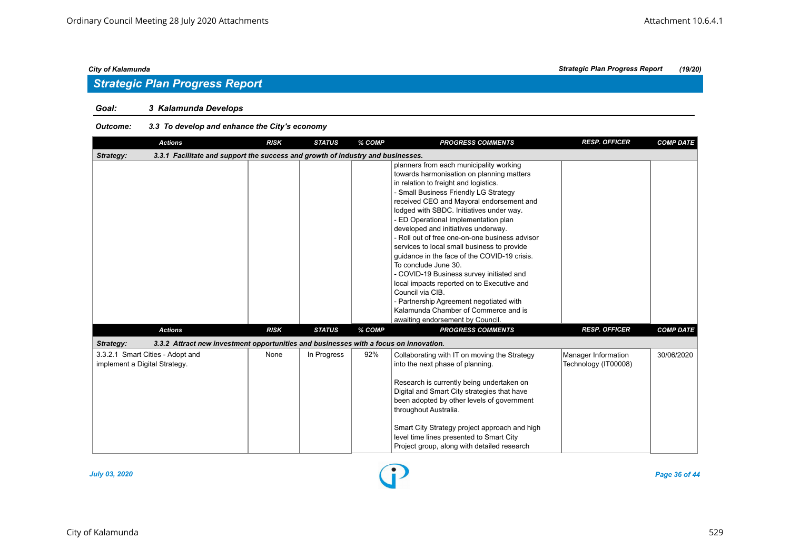## *Strategic Plan Progress Report*

#### *Goal: 3 Kalamunda Develops*

#### *Outcome: 3.3 To develop and enhance the City's economy*

| <b>Actions</b>                                                                                     | <b>RISK</b> | <b>STATUS</b> | % COMP | <b>PROGRESS COMMENTS</b>                                                                                                                                                                                                                                                                                                                                                                                                                                                                                                                                                                                                                                                                                                                                    | <b>RESP. OFFICER</b>                        | <b>COMP DATE</b> |  |  |  |
|----------------------------------------------------------------------------------------------------|-------------|---------------|--------|-------------------------------------------------------------------------------------------------------------------------------------------------------------------------------------------------------------------------------------------------------------------------------------------------------------------------------------------------------------------------------------------------------------------------------------------------------------------------------------------------------------------------------------------------------------------------------------------------------------------------------------------------------------------------------------------------------------------------------------------------------------|---------------------------------------------|------------------|--|--|--|
| 3.3.1 Facilitate and support the success and growth of industry and businesses.<br>Strategy:       |             |               |        |                                                                                                                                                                                                                                                                                                                                                                                                                                                                                                                                                                                                                                                                                                                                                             |                                             |                  |  |  |  |
|                                                                                                    |             |               |        | planners from each municipality working<br>towards harmonisation on planning matters<br>in relation to freight and logistics.<br>- Small Business Friendly LG Strategy<br>received CEO and Mayoral endorsement and<br>lodged with SBDC. Initiatives under way.<br>- ED Operational Implementation plan<br>developed and initiatives underway.<br>- Roll out of free one-on-one business advisor<br>services to local small business to provide<br>quidance in the face of the COVID-19 crisis.<br>To conclude June 30.<br>- COVID-19 Business survey initiated and<br>local impacts reported on to Executive and<br>Council via CIB.<br>- Partnership Agreement negotiated with<br>Kalamunda Chamber of Commerce and is<br>awaiting endorsement by Council. |                                             |                  |  |  |  |
| <b>Actions</b>                                                                                     | <b>RISK</b> | <b>STATUS</b> | % COMP | <b>PROGRESS COMMENTS</b>                                                                                                                                                                                                                                                                                                                                                                                                                                                                                                                                                                                                                                                                                                                                    | <b>RESP. OFFICER</b>                        | <b>COMP DATE</b> |  |  |  |
| 3.3.2 Attract new investment opportunities and businesses with a focus on innovation.<br>Strategy: |             |               |        |                                                                                                                                                                                                                                                                                                                                                                                                                                                                                                                                                                                                                                                                                                                                                             |                                             |                  |  |  |  |
| 3.3.2.1 Smart Cities - Adopt and<br>implement a Digital Strategy.                                  | None        | In Progress   | 92%    | Collaborating with IT on moving the Strategy<br>into the next phase of planning.<br>Research is currently being undertaken on<br>Digital and Smart City strategies that have<br>been adopted by other levels of government<br>throughout Australia.<br>Smart City Strategy project approach and high<br>level time lines presented to Smart City<br>Project group, along with detailed research                                                                                                                                                                                                                                                                                                                                                             | Manager Information<br>Technology (IT00008) | 30/06/2020       |  |  |  |

![](_page_35_Figure_7.jpeg)

*July 03, 2020 Page 36 of 44*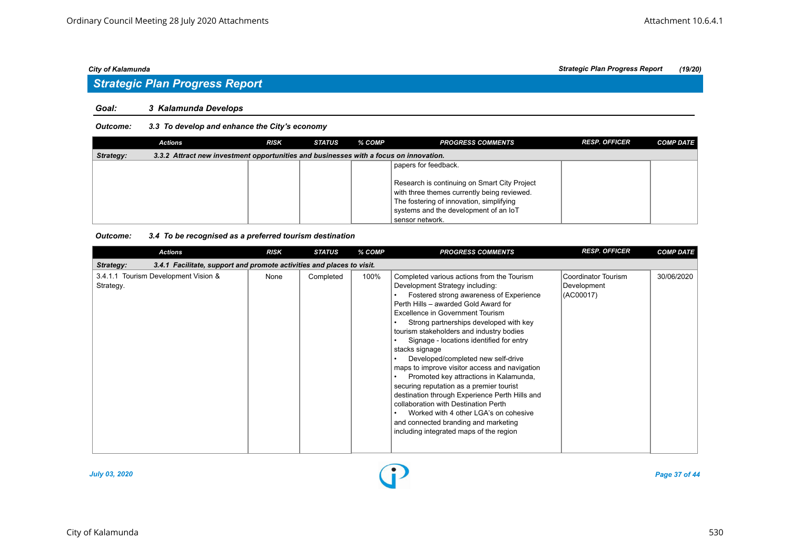## *Strategic Plan Progress Report*

#### *Goal: 3 Kalamunda Develops*

#### *Outcome: 3.3 To develop and enhance the City's economy*

|                                                                                                    | <b>Actions</b> | <b>RISK</b> | <b>STATUS</b> | % COMP | <b>PROGRESS COMMENTS</b>                                                                                                                                                                            | <b>RESP. OFFICER</b> | <b>COMP DATE</b> |  |  |
|----------------------------------------------------------------------------------------------------|----------------|-------------|---------------|--------|-----------------------------------------------------------------------------------------------------------------------------------------------------------------------------------------------------|----------------------|------------------|--|--|
| 3.3.2 Attract new investment opportunities and businesses with a focus on innovation.<br>Strategy: |                |             |               |        |                                                                                                                                                                                                     |                      |                  |  |  |
|                                                                                                    |                |             |               |        | papers for feedback.                                                                                                                                                                                |                      |                  |  |  |
|                                                                                                    |                |             |               |        | Research is continuing on Smart City Project<br>with three themes currently being reviewed.<br>The fostering of innovation, simplifying<br>systems and the development of an IoT<br>sensor network. |                      |                  |  |  |

#### *Outcome: 3.4 To be recognised as a preferred tourism destination*

| <b>Actions</b>                                                                     | <b>RISK</b> | <b>STATUS</b> | % COMP | <b>PROGRESS COMMENTS</b>                                                                                                                                                                                                                                                                                                                                                                                                                                                                                                                                                                                                                                                                                                                                    | <b>RESP. OFFICER</b>                            | <b>COMP DATE</b> |  |  |  |  |
|------------------------------------------------------------------------------------|-------------|---------------|--------|-------------------------------------------------------------------------------------------------------------------------------------------------------------------------------------------------------------------------------------------------------------------------------------------------------------------------------------------------------------------------------------------------------------------------------------------------------------------------------------------------------------------------------------------------------------------------------------------------------------------------------------------------------------------------------------------------------------------------------------------------------------|-------------------------------------------------|------------------|--|--|--|--|
| 3.4.1 Facilitate, support and promote activities and places to visit.<br>Strategy: |             |               |        |                                                                                                                                                                                                                                                                                                                                                                                                                                                                                                                                                                                                                                                                                                                                                             |                                                 |                  |  |  |  |  |
| 3.4.1.1 Tourism Development Vision &<br>Strategy.                                  | None        | Completed     | 100%   | Completed various actions from the Tourism<br>Development Strategy including:<br>Fostered strong awareness of Experience<br>Perth Hills - awarded Gold Award for<br>Excellence in Government Tourism<br>Strong partnerships developed with key<br>tourism stakeholders and industry bodies<br>Signage - locations identified for entry<br>stacks signage<br>Developed/completed new self-drive<br>maps to improve visitor access and navigation<br>Promoted key attractions in Kalamunda,<br>securing reputation as a premier tourist<br>destination through Experience Perth Hills and<br>collaboration with Destination Perth<br>Worked with 4 other LGA's on cohesive<br>and connected branding and marketing<br>including integrated maps of the region | Coordinator Tourism<br>Development<br>(AC00017) | 30/06/2020       |  |  |  |  |

![](_page_36_Figure_10.jpeg)

*July 03, 2020 Page 37 of 44*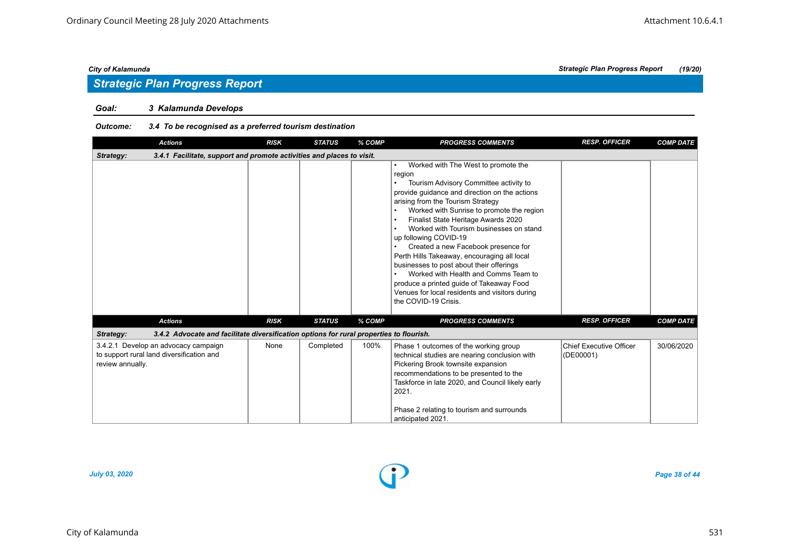#### *Goal: 3 Kalamunda Develops*

#### *Outcome: 3.4 To be recognised as a preferred tourism destination*

| <b>Actions</b>                                                                                        | <b>RISK</b> | <b>STATUS</b> | % COMP | <b>PROGRESS COMMENTS</b>                                                                                                                                                                                                                                                                                                                                                                                                                                                                                                                                                                                                                        | <b>RESP. OFFICER</b>                 | <b>COMP DATE</b> |
|-------------------------------------------------------------------------------------------------------|-------------|---------------|--------|-------------------------------------------------------------------------------------------------------------------------------------------------------------------------------------------------------------------------------------------------------------------------------------------------------------------------------------------------------------------------------------------------------------------------------------------------------------------------------------------------------------------------------------------------------------------------------------------------------------------------------------------------|--------------------------------------|------------------|
| 3.4.1 Facilitate, support and promote activities and places to visit.<br>Strategy:                    |             |               |        |                                                                                                                                                                                                                                                                                                                                                                                                                                                                                                                                                                                                                                                 |                                      |                  |
|                                                                                                       |             |               |        | Worked with The West to promote the<br>٠<br>region<br>Tourism Advisory Committee activity to<br>٠<br>provide guidance and direction on the actions<br>arising from the Tourism Strategy<br>Worked with Sunrise to promote the region<br>Finalist State Heritage Awards 2020<br>Worked with Tourism businesses on stand<br>up following COVID-19<br>Created a new Facebook presence for<br>Perth Hills Takeaway, encouraging all local<br>businesses to post about their offerings<br>Worked with Health and Comms Team to<br>produce a printed guide of Takeaway Food<br>Venues for local residents and visitors during<br>the COVID-19 Crisis. |                                      |                  |
| <b>Actions</b>                                                                                        | <b>RISK</b> | <b>STATUS</b> | % COMP | <b>PROGRESS COMMENTS</b>                                                                                                                                                                                                                                                                                                                                                                                                                                                                                                                                                                                                                        | <b>RESP. OFFICER</b>                 | <b>COMP DATE</b> |
| 3.4.2 Advocate and facilitate diversification options for rural properties to flourish.<br>Strategy:  |             |               |        |                                                                                                                                                                                                                                                                                                                                                                                                                                                                                                                                                                                                                                                 |                                      |                  |
| 3.4.2.1 Develop an advocacy campaign<br>to support rural land diversification and<br>review annually. | None        | Completed     | 100%   | Phase 1 outcomes of the working group<br>technical studies are nearing conclusion with<br>Pickering Brook townsite expansion<br>recommendations to be presented to the<br>Taskforce in late 2020, and Council likely early<br>2021.<br>Phase 2 relating to tourism and surrounds<br>anticipated 2021.                                                                                                                                                                                                                                                                                                                                           | Chief Executive Officer<br>(DE00001) | 30/06/2020       |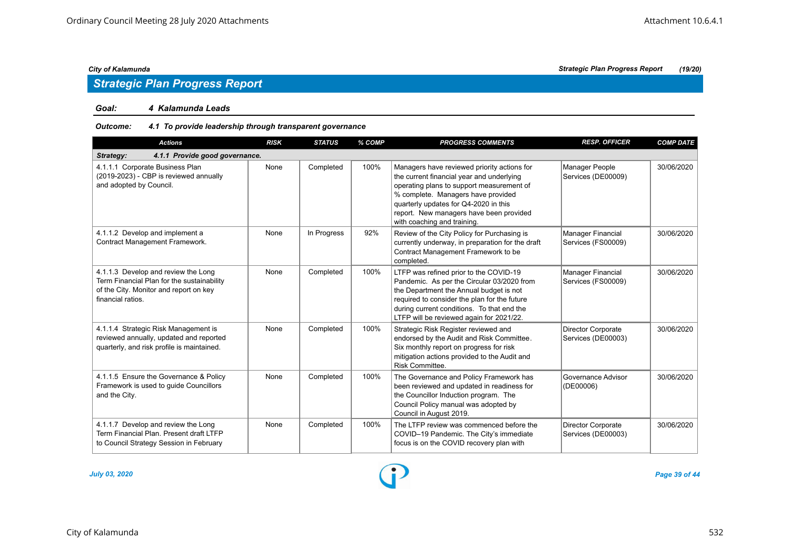## *Strategic Plan Progress Report*

#### *Goal: 4 Kalamunda Leads*

#### *Outcome: 4.1 To provide leadership through transparent governance*

| <b>Actions</b>                                                                                                                                   | <b>RISK</b> | <b>STATUS</b> | % COMP | <b>PROGRESS COMMENTS</b>                                                                                                                                                                                                                                                                       | <b>RESP. OFFICER</b>                            | <b>COMP DATE</b> |  |  |  |  |
|--------------------------------------------------------------------------------------------------------------------------------------------------|-------------|---------------|--------|------------------------------------------------------------------------------------------------------------------------------------------------------------------------------------------------------------------------------------------------------------------------------------------------|-------------------------------------------------|------------------|--|--|--|--|
| 4.1.1 Provide good governance.<br>Strategy:                                                                                                      |             |               |        |                                                                                                                                                                                                                                                                                                |                                                 |                  |  |  |  |  |
| 4.1.1.1 Corporate Business Plan<br>(2019-2023) - CBP is reviewed annually<br>and adopted by Council.                                             | None        | Completed     | 100%   | Managers have reviewed priority actions for<br>the current financial year and underlying<br>operating plans to support measurement of<br>% complete. Managers have provided<br>quarterly updates for Q4-2020 in this<br>report. New managers have been provided<br>with coaching and training. | Manager People<br>Services (DE00009)            | 30/06/2020       |  |  |  |  |
| 4.1.1.2 Develop and implement a<br>Contract Management Framework.                                                                                | None        | In Progress   | 92%    | Review of the City Policy for Purchasing is<br>currently underway, in preparation for the draft<br>Contract Management Framework to be<br>completed.                                                                                                                                           | Manager Financial<br>Services (FS00009)         | 30/06/2020       |  |  |  |  |
| 4.1.1.3 Develop and review the Long<br>Term Financial Plan for the sustainability<br>of the City. Monitor and report on key<br>financial ratios. | None        | Completed     | 100%   | LTFP was refined prior to the COVID-19<br>Pandemic. As per the Circular 03/2020 from<br>the Department the Annual budget is not<br>required to consider the plan for the future<br>during current conditions. To that end the<br>LTFP will be reviewed again for 2021/22.                      | Manager Financial<br>Services (FS00009)         | 30/06/2020       |  |  |  |  |
| 4.1.1.4 Strategic Risk Management is<br>reviewed annually, updated and reported<br>quarterly, and risk profile is maintained.                    | None        | Completed     | 100%   | Strategic Risk Register reviewed and<br>endorsed by the Audit and Risk Committee.<br>Six monthly report on progress for risk<br>mitigation actions provided to the Audit and<br>Risk Committee.                                                                                                | <b>Director Corporate</b><br>Services (DE00003) | 30/06/2020       |  |  |  |  |
| 4.1.1.5 Ensure the Governance & Policy<br>Framework is used to guide Councillors<br>and the City.                                                | None        | Completed     | 100%   | The Governance and Policy Framework has<br>been reviewed and updated in readiness for<br>the Councillor Induction program. The<br>Council Policy manual was adopted by<br>Council in August 2019.                                                                                              | Governance Advisor<br>(DE00006)                 | 30/06/2020       |  |  |  |  |
| 4.1.1.7 Develop and review the Long<br>Term Financial Plan, Present draft LTFP<br>to Council Strategy Session in February                        | None        | Completed     | 100%   | The LTFP review was commenced before the<br>COVID-19 Pandemic. The City's immediate<br>focus is on the COVID recovery plan with                                                                                                                                                                | <b>Director Corporate</b><br>Services (DE00003) | 30/06/2020       |  |  |  |  |

*July 03, 2020 Page 39 of 44*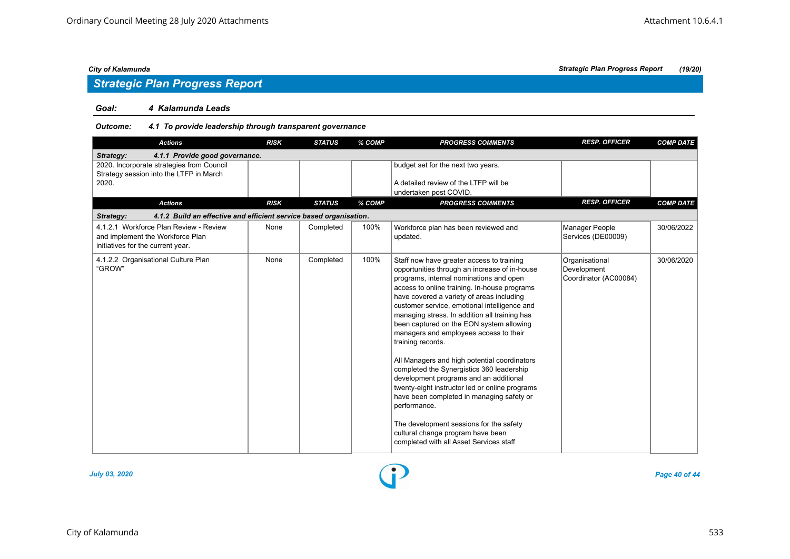## *Strategic Plan Progress Report*

#### *Goal: 4 Kalamunda Leads*

#### *Outcome: 4.1 To provide leadership through transparent governance*

| <b>Actions</b>                                                                                                  | <b>RISK</b> | <b>STATUS</b> | % COMP | <b>PROGRESS COMMENTS</b>                                                                                                                                                                                                                                                                                                                                                                                                                                                                                                                                                                                                                                                                                                                                                                                                        | <b>RESP. OFFICER</b>                                   | <b>COMP DATE</b> |  |  |  |
|-----------------------------------------------------------------------------------------------------------------|-------------|---------------|--------|---------------------------------------------------------------------------------------------------------------------------------------------------------------------------------------------------------------------------------------------------------------------------------------------------------------------------------------------------------------------------------------------------------------------------------------------------------------------------------------------------------------------------------------------------------------------------------------------------------------------------------------------------------------------------------------------------------------------------------------------------------------------------------------------------------------------------------|--------------------------------------------------------|------------------|--|--|--|
| 4.1.1 Provide good governance.<br>Strategy:                                                                     |             |               |        |                                                                                                                                                                                                                                                                                                                                                                                                                                                                                                                                                                                                                                                                                                                                                                                                                                 |                                                        |                  |  |  |  |
| 2020. Incorporate strategies from Council<br>Strategy session into the LTFP in March                            |             |               |        | budget set for the next two years.                                                                                                                                                                                                                                                                                                                                                                                                                                                                                                                                                                                                                                                                                                                                                                                              |                                                        |                  |  |  |  |
| 2020.                                                                                                           |             |               |        | A detailed review of the LTFP will be<br>undertaken post COVID.                                                                                                                                                                                                                                                                                                                                                                                                                                                                                                                                                                                                                                                                                                                                                                 |                                                        |                  |  |  |  |
| <b>Actions</b>                                                                                                  | <b>RISK</b> | <b>STATUS</b> | % COMP | <b>PROGRESS COMMENTS</b>                                                                                                                                                                                                                                                                                                                                                                                                                                                                                                                                                                                                                                                                                                                                                                                                        | <b>RESP. OFFICER</b>                                   | <b>COMP DATE</b> |  |  |  |
| 4.1.2 Build an effective and efficient service based organisation.<br>Strategy:                                 |             |               |        |                                                                                                                                                                                                                                                                                                                                                                                                                                                                                                                                                                                                                                                                                                                                                                                                                                 |                                                        |                  |  |  |  |
| 4.1.2.1 Workforce Plan Review - Review<br>and implement the Workforce Plan<br>initiatives for the current year. | None        | Completed     | 100%   | Workforce plan has been reviewed and<br>updated.                                                                                                                                                                                                                                                                                                                                                                                                                                                                                                                                                                                                                                                                                                                                                                                | Manager People<br>Services (DE00009)                   | 30/06/2022       |  |  |  |
| 4.1.2.2 Organisational Culture Plan<br>"GROW"                                                                   | None        | Completed     | 100%   | Staff now have greater access to training<br>opportunities through an increase of in-house<br>programs, internal nominations and open<br>access to online training. In-house programs<br>have covered a variety of areas including<br>customer service, emotional intelligence and<br>managing stress. In addition all training has<br>been captured on the EON system allowing<br>managers and employees access to their<br>training records.<br>All Managers and high potential coordinators<br>completed the Synergistics 360 leadership<br>development programs and an additional<br>twenty-eight instructor led or online programs<br>have been completed in managing safety or<br>performance.<br>The development sessions for the safety<br>cultural change program have been<br>completed with all Asset Services staff | Organisational<br>Development<br>Coordinator (AC00084) | 30/06/2020       |  |  |  |

![](_page_39_Figure_8.jpeg)

*July 03, 2020 Page 40 of 44*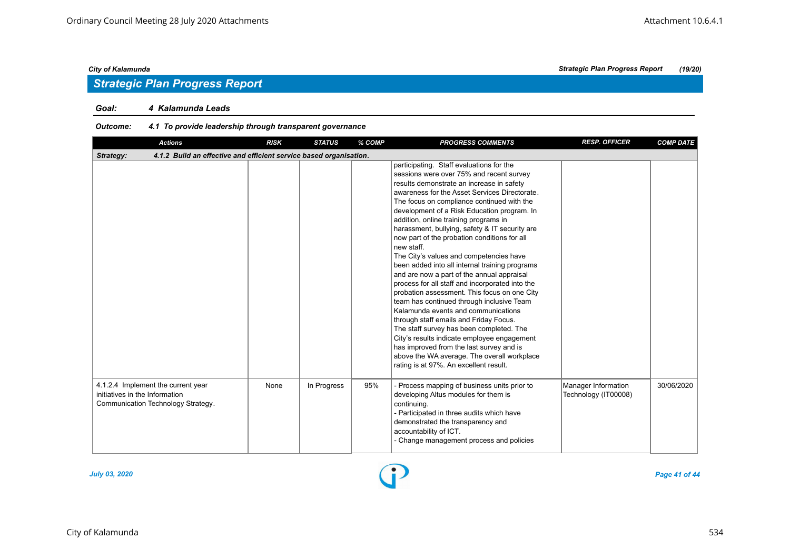## *Strategic Plan Progress Report*

#### *Goal: 4 Kalamunda Leads*

#### *Outcome: 4.1 To provide leadership through transparent governance*

| <b>Actions</b>                                                                                             | <b>RISK</b> | <b>STATUS</b> | % COMP | <b>PROGRESS COMMENTS</b>                                                                                                                                                                                                                                                                                                                                                                                                                                                                                                                                                                                                                                                                                                                                                                                                                                                                                                                                                                                                                             | <b>RESP. OFFICER</b>                        | <b>COMP DATE</b> |  |  |  |  |
|------------------------------------------------------------------------------------------------------------|-------------|---------------|--------|------------------------------------------------------------------------------------------------------------------------------------------------------------------------------------------------------------------------------------------------------------------------------------------------------------------------------------------------------------------------------------------------------------------------------------------------------------------------------------------------------------------------------------------------------------------------------------------------------------------------------------------------------------------------------------------------------------------------------------------------------------------------------------------------------------------------------------------------------------------------------------------------------------------------------------------------------------------------------------------------------------------------------------------------------|---------------------------------------------|------------------|--|--|--|--|
| 4.1.2 Build an effective and efficient service based organisation.<br>Strategy:                            |             |               |        |                                                                                                                                                                                                                                                                                                                                                                                                                                                                                                                                                                                                                                                                                                                                                                                                                                                                                                                                                                                                                                                      |                                             |                  |  |  |  |  |
|                                                                                                            |             |               |        | participating. Staff evaluations for the<br>sessions were over 75% and recent survey<br>results demonstrate an increase in safety<br>awareness for the Asset Services Directorate.<br>The focus on compliance continued with the<br>development of a Risk Education program. In<br>addition, online training programs in<br>harassment, bullying, safety & IT security are<br>now part of the probation conditions for all<br>new staff.<br>The City's values and competencies have<br>been added into all internal training programs<br>and are now a part of the annual appraisal<br>process for all staff and incorporated into the<br>probation assessment. This focus on one City<br>team has continued through inclusive Team<br>Kalamunda events and communications<br>through staff emails and Friday Focus.<br>The staff survey has been completed. The<br>City's results indicate employee engagement<br>has improved from the last survey and is<br>above the WA average. The overall workplace<br>rating is at 97%. An excellent result. |                                             |                  |  |  |  |  |
| 4.1.2.4 Implement the current year<br>initiatives in the Information<br>Communication Technology Strategy. | None        | In Progress   | 95%    | - Process mapping of business units prior to<br>developing Altus modules for them is<br>continuing.<br>- Participated in three audits which have<br>demonstrated the transparency and<br>accountability of ICT.<br>- Change management process and policies                                                                                                                                                                                                                                                                                                                                                                                                                                                                                                                                                                                                                                                                                                                                                                                          | Manager Information<br>Technology (IT00008) | 30/06/2020       |  |  |  |  |

![](_page_40_Figure_7.jpeg)

*July 03, 2020 Page 41 of 44*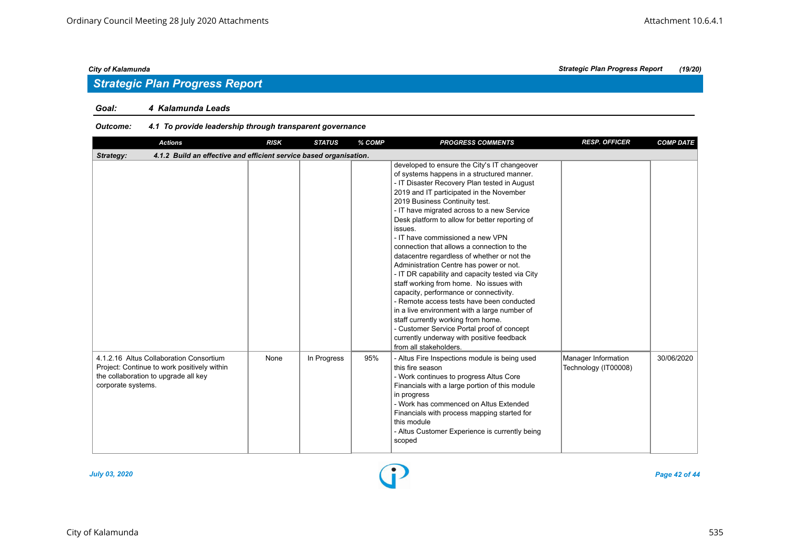## *Strategic Plan Progress Report*

#### *Goal: 4 Kalamunda Leads*

#### *Outcome: 4.1 To provide leadership through transparent governance*

| <b>Actions</b>                                                                                                                                       | <b>RISK</b> | <b>STATUS</b> | % COMP | <b>PROGRESS COMMENTS</b>                                                                                                                                                                                                                                                                                                                                                                                                                                                                                                                                                                                                                                                                                                                                                                                                                                                                                        | <b>RESP. OFFICER</b>                        | <b>COMP DATE</b> |
|------------------------------------------------------------------------------------------------------------------------------------------------------|-------------|---------------|--------|-----------------------------------------------------------------------------------------------------------------------------------------------------------------------------------------------------------------------------------------------------------------------------------------------------------------------------------------------------------------------------------------------------------------------------------------------------------------------------------------------------------------------------------------------------------------------------------------------------------------------------------------------------------------------------------------------------------------------------------------------------------------------------------------------------------------------------------------------------------------------------------------------------------------|---------------------------------------------|------------------|
| Strategy:<br>4.1.2 Build an effective and efficient service based organisation.                                                                      |             |               |        |                                                                                                                                                                                                                                                                                                                                                                                                                                                                                                                                                                                                                                                                                                                                                                                                                                                                                                                 |                                             |                  |
|                                                                                                                                                      |             |               |        | developed to ensure the City's IT changeover<br>of systems happens in a structured manner.<br>- IT Disaster Recovery Plan tested in August<br>2019 and IT participated in the November<br>2019 Business Continuity test.<br>- IT have migrated across to a new Service<br>Desk platform to allow for better reporting of<br>issues.<br>- IT have commissioned a new VPN<br>connection that allows a connection to the<br>datacentre regardless of whether or not the<br>Administration Centre has power or not.<br>- IT DR capability and capacity tested via City<br>staff working from home. No issues with<br>capacity, performance or connectivity.<br>- Remote access tests have been conducted<br>in a live environment with a large number of<br>staff currently working from home.<br>- Customer Service Portal proof of concept<br>currently underway with positive feedback<br>from all stakeholders. |                                             |                  |
| 4.1.2.16 Altus Collaboration Consortium<br>Project: Continue to work positively within<br>the collaboration to upgrade all key<br>corporate systems. | None        | In Progress   | 95%    | - Altus Fire Inspections module is being used<br>this fire season<br>- Work continues to progress Altus Core<br>Financials with a large portion of this module<br>in progress<br>- Work has commenced on Altus Extended<br>Financials with process mapping started for<br>this module<br>- Altus Customer Experience is currently being<br>scoped                                                                                                                                                                                                                                                                                                                                                                                                                                                                                                                                                               | Manager Information<br>Technology (IT00008) | 30/06/2020       |

![](_page_41_Figure_7.jpeg)

*July 03, 2020 Page 42 of 44*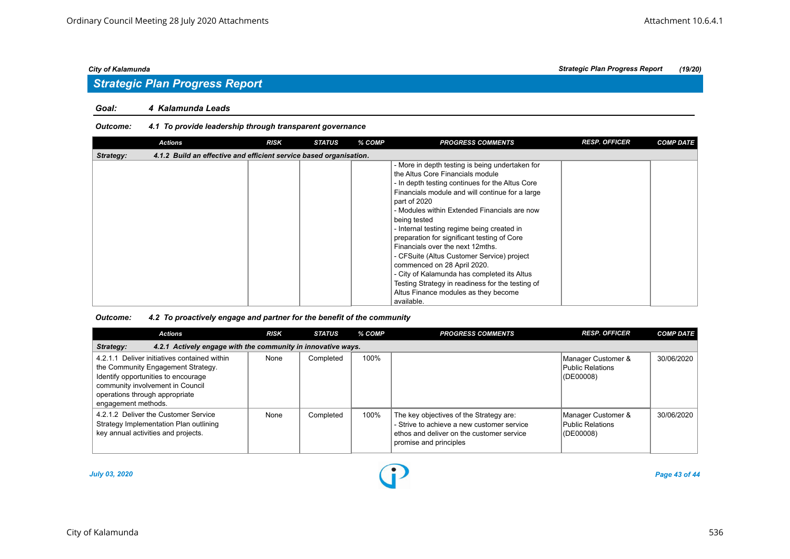#### *Goal: 4 Kalamunda Leads*

#### *Outcome: 4.1 To provide leadership through transparent governance*

| <b>Actions</b>                                                                  | <b>RISK</b> | <b>STATUS</b> | % COMP | <b>PROGRESS COMMENTS</b>                                                                                                                                                                                                                                                                                                                                                                                                                                 | <b>RESP. OFFICER</b> | <b>COMP DATE</b> |  |  |  |
|---------------------------------------------------------------------------------|-------------|---------------|--------|----------------------------------------------------------------------------------------------------------------------------------------------------------------------------------------------------------------------------------------------------------------------------------------------------------------------------------------------------------------------------------------------------------------------------------------------------------|----------------------|------------------|--|--|--|
| 4.1.2 Build an effective and efficient service based organisation.<br>Strategy: |             |               |        |                                                                                                                                                                                                                                                                                                                                                                                                                                                          |                      |                  |  |  |  |
|                                                                                 |             |               |        | - More in depth testing is being undertaken for<br>the Altus Core Financials module<br>- In depth testing continues for the Altus Core<br>Financials module and will continue for a large<br>part of 2020<br>- Modules within Extended Financials are now<br>being tested<br>- Internal testing regime being created in<br>preparation for significant testing of Core<br>Financials over the next 12mths.<br>- CFSuite (Altus Customer Service) project |                      |                  |  |  |  |
|                                                                                 |             |               |        | commenced on 28 April 2020.<br>- City of Kalamunda has completed its Altus<br>Testing Strategy in readiness for the testing of<br>Altus Finance modules as they become<br>available.                                                                                                                                                                                                                                                                     |                      |                  |  |  |  |

#### *Outcome: 4.2 To proactively engage and partner for the benefit of the community*

| <b>Actions</b>                                                                                                                                                                                                         | <b>RISK</b> | <b>STATUS</b> | % COMP | <b>PROGRESS COMMENTS</b>                                                                                                                                     | <b>RESP. OFFICER</b>                                | <b>COMP DATE</b> |  |  |  |  |
|------------------------------------------------------------------------------------------------------------------------------------------------------------------------------------------------------------------------|-------------|---------------|--------|--------------------------------------------------------------------------------------------------------------------------------------------------------------|-----------------------------------------------------|------------------|--|--|--|--|
| 4.2.1 Actively engage with the community in innovative ways.<br>Strategy:                                                                                                                                              |             |               |        |                                                                                                                                                              |                                                     |                  |  |  |  |  |
| 4.2.1.1 Deliver initiatives contained within<br>the Community Engagement Strategy.<br>Identify opportunities to encourage<br>community involvement in Council<br>operations through appropriate<br>engagement methods. | None        | Completed     | 100%   |                                                                                                                                                              | Manager Customer &<br>Public Relations<br>(DE00008) | 30/06/2020       |  |  |  |  |
| 4.2.1.2 Deliver the Customer Service<br>Strategy Implementation Plan outlining<br>key annual activities and projects.                                                                                                  | None        | Completed     | 100%   | The key objectives of the Strategy are:<br>- Strive to achieve a new customer service<br>ethos and deliver on the customer service<br>promise and principles | Manager Customer &<br>Public Relations<br>(DE00008) | 30/06/2020       |  |  |  |  |